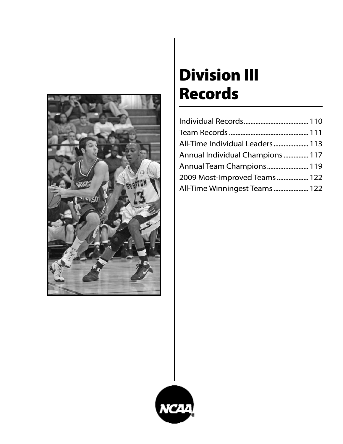

# Division III Records

| All-Time Individual Leaders 113  |  |
|----------------------------------|--|
| Annual Individual Champions  117 |  |
| Annual Team Champions 119        |  |
| 2009 Most-Improved Teams  122    |  |
| All-Time Winningest Teams  122   |  |

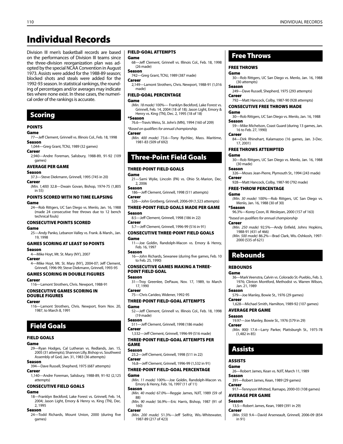## Individual Records

Division III men's basketball records are based on the performances of Division III teams since the three-division reorganization plan was adopted by the special NCAA Convention in August 1973. Assists were added for the 1988-89 season; blocked shots and steals were added for the 1992-93 season. In statistical rankings, the rounding of percentages and/or averages may indicate ties where none exist. In these cases, the numerical order of the rankings is accurate.

### Scoring

### **POINTS**

#### Game

77—Jeff Clement, Grinnell vs. Illinois Col., Feb. 18, 1998 Season 1,044—Greg Grant, TCNJ, 1989 (32 games)

### Career

2,940—Andre Foreman, Salisbury, 1988-89, 91-92 (109 games)

#### Average Per Game

#### Season

- 37.3—Steve Diekmann, Grinnell, 1995 (745 in 20)
- Career *(Min. 1,400)* 32.8—Dwain Govan, Bishop, 1974-75 (1,805 in 55)

#### Points Scored With No Time Elapsing Game

24—Rob Rittgers, UC San Diego vs. Menlo, Jan. 16, 1988 (made 24 consecutive free throws due to 12 bench technical fouls)

### CONSECUTIVE POINTS SCORED

#### Game

25—Andy Panko, Lebanon Valley vs. Frank. & Marsh., Jan. 19, 1998

### Games Scoring at Least 50 Points

### Season

- 4—Mike Hoyt, Mt. St. Mary (NY), 2007
- Career 4—Mike Hoyt, Mt. St. Mary (NY), 2004-07; Jeff Clement, Grinnell, 1996-99; Steve Diekmann, Grinnell, 1993-95

### Games Scoring in Double Figures

### Career

116—Lamont Strothers, Chris. Newport, 1988-91

#### Consecutive Games Scoring in Double Figures

### Career

116—Lamont Strothers, Chris. Newport, from Nov. 20, 1987, to March 8, 1991

### Field Goals

### Field Goals

### Game

29—Ryan Hodges, Cal Lutheran vs. Redlands, Jan. 15, 2005 (31 attempts); Shannon Lilly, Bishop vs. Southwest Assembly of God, Jan. 31, 1983 (36 attempts)

### Season

- 394—Dave Russell, Shepherd, 1975 (687 attempts) Career
- 1,140—Andre Foreman, Salisbury, 1988-89, 91-92 (2,125 attempts)

### Consecutive Field Goals

### Game

18—Franklyn Beckford, Lake Forest vs. Grinnell, Feb. 14, 2004; Jason Light, Emory & Henry vs. King (TN), Dec. 2, 1995

### Season

24—Todd Richards, Mount Union, 2000 (during five games)

### Field-Goal Attempts

### Game

68—Jeff Clement, Grinnell vs. Illinois Col., Feb. 18, 1998 (26 made)

### Season

- 742—Greg Grant, TCNJ, 1989 (387 made) Career
- 2,149—Lamont Strothers, Chris. Newport, 1988-91 (1,016 made)

### Field-Goal Percentage

#### Game

*(Min. 18 made)* 100%— Franklyn Beckford, Lake Forest vs. Grinnell, Feb. 14, 2004 (18 of 18); Jason Light, Emory & Henry vs. King (TN), Dec. 2, 1995 (18 of 18) \*Season

76.6—Travis Weiss, St. John's (MN), 1994 (160 of 209) *\*Based on qualifiers for annual championship.*

### Career

*(Min. 400 made)* 73.6—Tony Rychlec, Mass. Maritime, 1981-83 (509 of 692)

### Three-Point Field Goals

### Three-Point Field Goals

Game

- 21—Sami Wylie, Lincoln (PA) vs. Ohio St.-Marion, Dec. 2, 2006
- Season 186—Jeff Clement, Grinnell, 1998 (511 attempts) Career
- 526—John Grotberg, Grinnell, 2006-09 (1,523 attempts)

#### Three-Point Field Goals Made Per Game Season

- 8.5—Jeff Clement, Grinnell, 1998 (186 in 22) Career
- 5.7—Jeff Clement, Grinnell, 1996-99 (516 in 91)
- Consecutive Three-Point Field Goals
- Game
- 11—Joe Goldin, Randolph-Macon vs. Emory & Henry, Feb. 16, 1997

### Season

16—John Richards, Sewanee (during five games, Feb. 10 to Feb. 25, 1990)

### Consecutive Games Making a Three-Point Field Goal

Season

- 31—Troy Greenlee, DePauw, Nov. 17, 1989, to March 17, 1990 Career
- 75—Chris Carideo, Widener, 1992-95

### Three-Point Field-Goal Attempts

- Game
- 52—Jeff Clement, Grinnell vs. Illinois Col., Feb. 18, 1998 (19 made)
- Season
- 511—Jeff Clement, Grinnell, 1998 (186 made) Career 1,532—Jeff Clement, Grinnell, 1996-99 (516 made)

### Three-Point Field-Goal Attempts Per **GAME**

### Season

23.2—Jeff Clement, Grinnell, 1998 (511 in 22) Career

16.8—Jeff Clement, Grinnell, 1996-99 (1,532 in 91)

#### Three-Point Field-Goal Percentage Game

*(Min. 11 made)* 100%—Joe Goldin, Randolph-Macon vs. Emory & Henry, Feb. 16, 1997 (11 of 11) Season

*(Min. 40 made)* 67.0%—Reggie James, NJIT, 1989 (59 of 88)

*(Min. 90 made)* 56.9%—Eric Harris, Bishop, 1987 (91 of 160)

#### Career

*(Min. 200 made)* 51.3%—Jeff Seifriz, Wis.-Whitewater, 1987-89 (217 of 423)

### Free Throws

#### Free Throws

### Game

30—Rob Rittgers, UC San Diego vs. Menlo, Jan. 16, 1988 (30 attempts)

- Season
- 249—Dave Russell, Shepherd, 1975 (293 attempts) **Career**

792—Matt Hancock, Colby, 1987-90 (928 attempts)

#### Consecutive Free Throws Made

#### Game

30—Rob Rittgers, UC San Diego vs. Menlo, Jan. 16, 1988 Season

- 59—Mike Michelson, Coast Guard (during 13 games, Jan. 16 to Feb. 27, 1990)
- Career

(30 made) Season

Career

Game

\*Season

Career

84—Dirk Rhinehart, Kalamazoo (16 games, Jan. 3-Dec. 17, 2001)

30—Rob Rittgers, UC San Diego vs. Menlo, Jan. 16, 1988

326—Moses Jean-Pierre, Plymouth St., 1994 (243 made)

*(Min. 30 made)* 100%—Rob Rittgers, UC San Diego vs.

*(Min. 250 made)* 92.5%—Andy Enfield, Johns Hopkins,

*(Min. 500 made)* 86.2%—Brad Clark, Wis.-Oshkosh, 1997-

36—Mark Veenstra, Calvin vs. Colorado St.-Pueblo., Feb. 3, 1976; Clinton Montford, Methodist vs. Warren Wilson,

1,628—Michael Smith, Hamilton, 1989-92 (107 games)

*(Min. 900)* 17.4—Larry Parker, Plattsburgh St., 1975-78

579—Joe Manley, Bowie St., 1976 (29 games)

19.97—Joe Manley, Bowie St., 1976 (579 in 29)

26—Robert James, Kean vs. NJIT, March 11, 1989

917—Tennyson Whitted, Ramapo, 2000-03 (108 games)

*(Min. 550)* 9.4—David Arseneault, Grinnell, 2006-09 (854

391—Robert James, Kean, 1989 (29 games)

13.5—Robert James, Kean, 1989 (391 in 29)

96.3%—Korey Coon, Ill. Wesleyan, 2000 (157 of 163)

928—Matt Hancock, Colby, 1987-90 (792 made)

#### Free ThrowS ATTEMPTED Game

Free-Throw Percentage

1988-91 (431 of 466)

2000 (535 of 621)

**Rebounds** 

Jan. 21, 1989

Average Per Game

(1,482 in 85)

Assists

Average Per Game

Assists Game

Season

Career

Season

Career

in 91)

**REBOUNDS** Game

Season

**Career** 

Season

Career

Menlo, Jan. 16, 1988 (30 of 30)

*\*based on qualifiers for annual championship*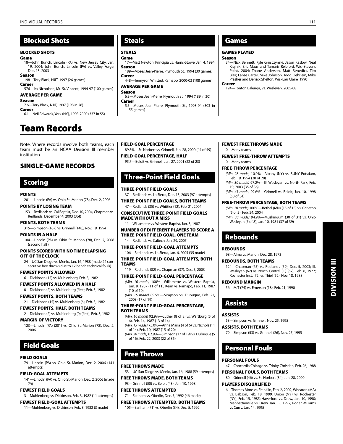### Blocked Shots

#### Blocked Shots

#### Game

18—John Bunch, Lincoln (PA) vs. New Jersey City, Jan. 19, 2004; John Bunch, Lincoln (PA) vs. Valley Forge, Dec. 13, 2003

### Season

198—Tory Black, NJIT, 1997 (26 games) Career

576—Ira Nicholson, Mt. St. Vincent, 1994-97 (100 games)

### Average Per Game

Season

7.6—Tory Black, NJIT, 1997 (198 in 26) Career

6.1—Neil Edwards, York (NY), 1998-2000 (337 in 55)

## Team Records

Note: Where records involve both teams, each team must be an NCAA Division III member institution.

### Single-Game Records

### Scoring

#### **POINTS**

201—Lincoln (PA) vs. Ohio St.-Marion (78), Dec. 2, 2006

### POINTS BY LOSING TEAM

153—Redlands vs. Cal Baptist, Dec. 10, 2004; Chapman vs. Redlands, December 4, 2003 (3ot)

### Points, Both Teams

315—Simpson (167) vs. Grinnell (148), Nov. 19, 1994

#### Points in a Half

104—Lincoln (PA) vs. Ohio St.-Marion (78), Dec. 2, 2006 (second half)

#### Points Scored With No Time Elapsing Off of the Clock

24—UC San Diego vs. Menlo, Jan. 16, 1988 (made 24 consecutive free throws due to 12 bench technical fouls)

#### fewest Points Allowed

6—Dickinson (15) vs. Muhlenberg, Feb. 3, 1982

fewest Points Allowed in a Half

0—Dickinson (2) vs. Muhlenberg (first), Feb. 3, 1982

### fewest Points, Both Teams

21—Dickinson (15) vs. Muhlenberg (6), Feb. 3, 1982

### Fewest Points, Half, Both Teams

2—Dickinson (2) vs. Muhlenberg (0) (first), Feb. 3, 1982

### Margin of Victory

123—Lincoln (PA) (201) vs. Ohio St.-Marion (78), Dec. 2, 2006

## Field Goals

### Field Goals

79—Lincoln (PA) vs. Ohio St.-Marion, Dec. 2, 2006 (141 attempts)

### Field-Goal Attempts

141—Lincoln (PA) vs. Ohio St.-Marion, Dec. 2, 2006 (made 79)

### fewest Field Goals

3—Muhlenberg vs. Dickinson, Feb. 3, 1982 (11 attempts)

### Fewest Field-Goal Attempts

11—Muhlenberg vs. Dickinson, Feb. 3, 1982 (3 made)

### Steals

### **STEALS**

### Game

17—Matt Newton, Principia vs. Harris-Stowe, Jan. 4, 1994 Season 189—Moses Jean-Pierre, Plymouth St., 1994 (30 games)

### **Career**

448—Tennyson Whitted, Ramapo, 2000-03 (108 games)

### Average Per Game

- Season 6.3—Moses Jean-Pierre, Plymouth St., 1994 (189 in 30)
- Career 5.5—Moses Jean-Pierre, Plymouth St., 1993-94 (303 in 55 games)

### Games

### GAMES Played

#### Season

34—Nick Bennett, Kyle Grusczynski, Jason Kaslow, Neal Krajnik, Eric Maus and Tamaris Releford, Wis.-Stevens Point, 2004; Thane Anderson, Matt Benedict, Tim Blair, Lanse Carter, Mike Johnson, Todd Oehrlein, Mike Prasher and Derrick Shelton, Wis.-Eau Claire, 1990 Career

#### 124—Tonton Balenga, Va. Wesleyan, 2005-08

### Field-Goal Percentage

89.8%—St. Norbert vs. Grinnell, Jan. 28, 2000 (44 of 49)

### Field-Goal Percentage, Half

95.7—Beloit vs. Grinnell, Jan. 27, 2001 (22 of 23)

### Three-Point Field Goals

#### Three-Point Field Goals

37—Redlands vs. La Sierra, Dec. 13, 2003 (97 attempts)

#### Three-Point Field Goals, Both Teams 47—Redlands (35) vs. Whittier (12), Feb. 21, 2004

Consecutive Three-Point Field Goals Made Without a Miss

11—Willamette vs. Western Baptist, Jan. 8, 1987

### Number of Different Players to Score a Three-Point Field Goal, One Team

14—Redlands vs. Caltech, Jan. 29, 2005

Three-Point Field-Goal Attempts 106—Redlands vs. La Sierra, Jan. 6, 2005 (35 made)

#### Three-Point Field-Goal Attempts, Both Teams

119—Redlands (82) vs. Chapman (37), Dec. 5, 2003

#### Three-Point Field-Goal Percentage

*(Min. 10 made)* 100%—Willamette vs. Western Baptist, Jan. 8, 1987 (11 of 11); Kean vs. Ramapo, Feb. 11, 1987 (10 of 10)

*(Min. 15 made)* 89.5%—Simpson vs. Dubuque, Feb. 22, 2003 (17 of 19)

#### Three-Point Field-Goal Percentage, Both Teams

- *(Min. 10 made)* 92.9%—Luther (8 of 8) vs. Wartburg (5 of 6), Feb. 14, 1987 (13 of 14)
- *(Min. 15 made)* 75.0%—Anna Maria (4 of 6) vs. Nichols (11 of 14), Feb. 10, 1987 (15 of 20)

*(Min. 20 made)* 62.9%—Simpson (17 of 19) vs. Dubuque (5 of 16), Feb. 22, 2003 (22 of 35)

### Free Throws

#### Free Throws Made

53—UC San Diego vs. Menlo, Jan. 16, 1988 (59 attempts)

### Free Throws made, Both Teams

93—Grinnell (50) vs. Beloit (43), Jan. 10, 1998

### Free Throws attempted

71—Earlham vs. Oberlin, Dec. 5, 1992 (46 made)

#### Free Throws attempted, Both Teams

105—Earlham (71) vs. Oberlin (34), Dec. 5, 1992

Fewest Free Throws made 0—Many teams

#### Fewest Free-Throw attempts

0—Many teams

#### Free-Throw Percentage

Rebounds

Rebound Margin

Assists, Both Teams

Personal Fouls

Players Disqualified

vs Curry, Jan. 14, 1995

Personal Fouls, Both Teams

Personal Fouls

Assists

Assists

98—Alma vs. Marion, Dec. 28, 1973 Rebounds, Both Teams

56—MIT (74) vs. Emerson (18), Feb. 21, 1990

53—Simpson vs. Grinnell, Nov. 25, 1995

79—Simpson (53) vs. Grinnell (26), Nov. 25, 1995

47—Concordia Chicago vs. Trinity Christian, Feb. 26, 1988

6—Thomas More vs. Franklin, Feb. 2, 2002; Wheaton (MA) vs. Babson, Feb. 18, 1999; Union (NY) vs. Rochester (NY), Feb. 15, 1985; Haverford vs. Drew, Jan. 10, 1990; Manhattanville vs. Drew, Jan. 11, 1992; Roger Williams

80—Grinnell (46) vs. St. Norbert (34), Jan. 28, 2000

**REBOUNDS** 

- *(Min. 28 made)* 10.0%—Albany (NY) vs. SUNY Potsdam, Feb. 19, 1994 (28 of 28)
- *(Min. 30 made)* 97.2%—Ill. Wesleyan vs. North Park, Feb. 19, 2003 (35 of 36)
- *(Min. 45 made)* 92.6%—Grinnell vs. Beloit, Jan. 10, 1998 (50 of 54)

### Free-Throw Percentage, Both Teams

*(Min. 20 made)* 100%—Bethel (MN) (15 of 15) vs. Carleton (5 of 5), Feb. 24, 2004 *(Min. 30 made)* 94.9%—Muskingum (30 of 31) vs. Ohio Wesleyan (7 of 8), Jan. 10, 1981 (37 of 39)

124—Chapman (65) vs. Redlands (59), Dec. 5, 2003; Ill. Wesleyan (62) vs. North Central (IL) (62), Feb. 8, 1977; Rochester Inst. (72) vs. Thiel (52), Nov. 18, 1988

Division III

**DIVISION III**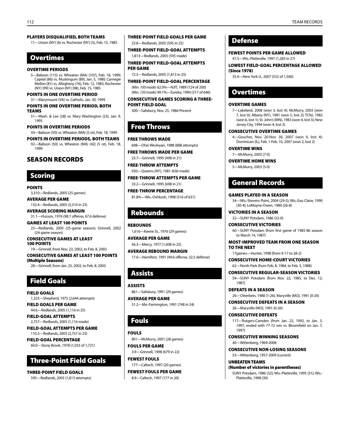### Players Disqualified, Both Teams

11—Union (NY) (6) vs. Rochester (NY) (5), Feb. 15, 1985

### Overtimes

### Overtime Periods

5—Babson (115) vs. Wheaton (MA) (107), Feb. 18, 1999; Capital (86) vs. Muskingum (89), Jan. 5, 1980; Carnegie Mellon (81) vs. Allegheny (76), Feb. 12, 1983; Rochester (NY) (99) vs. Union (NY) (98), Feb. 15, 1985

### Points in One Overtime Period

31—Marymount (VA) vs. Catholic, Jan. 30, 1999 Points in One Overtime Period, Both Teams

51—Wash. & Lee (28) vs. Mary Washington (23), Jan. 9, 1995

#### Points in Overtime Periods

50—Babson (50) vs. Wheaton (MA) (5 ot), Feb. 18, 1999

Points in Overtime Periods, Both Teams 92—Babson (50) vs. Wheaton (MA) (42) (5 ot), Feb. 18,

1999

### Season Records

### Scoring

**POINTS** 

3,310—Redlands, 2005 (25 games) Average Per Game

132.4—Redlands, 2005 (3,310 in 25)

Average Scoring Margin 31.1—Husson, 1976 (98.7 offense, 67.6 defense)

Games at Least 100 Points 23—Redlands, 2005 (25-game season); Grinnell, 2002 (24-game season)

Consecutive Games at Least 100 Points 19—Grinnell, from Nov. 23, 2002, to Feb. 8, 2003 Consecutive Games at Least 100 Points

(Multiple Seasons) 28—Grinnell, from Jan. 25, 2002, to Feb. 8, 2003

## Field Goals

Field Goals 1,323—Shepherd, 1975 (2,644 attempts) Field Goals Per Game

44.6—Redlands, 2005 (1,116 in 25) Field-Goal Attempts

2,757—Redlands, 2005 (1,116 made) Field-Goal Attempts Per Game 110.3—Redlands, 2005 (2,757 in 25)

Field-Goal Percentage 60.0—Stony Brook, 1978 (1,033 of 1,721)

### Three-Point Field Goals

Three-Point Field Goals 595—Redlands, 2005 (1,813 attempts) Three-Point Field Goals Per Game 23.8—Redlands, 2005 (595 in 25)

Three-Point Field-Goal Attempts 1,813—Redlands, 2005 (595 made)

Three-Point Field-Goal Attempts Per Game

72.5—Redlands, 2005 (1,813 in 25)

Three-Point Field-Goal Percentage *(Min. 100 made)* 62.0%—NJIT, 1989 (124 of 200) *(Min. 150 made)* 49.1%—Eureka, 1994 (317 of 646)

consecutive games scoring a threepoint field goal

500—Salisbury, Nov. 25, 1986-Present

### Free Throws

#### Free Throws made

698—Ohio Wesleyan, 1988 (888 attempts) Free Throws made Per Game

23.7—Grinnell, 1995 (498 in 21)

Free-Throw ATTEMPTS 930—Queens (NY), 1981 (636 made)

Free-Throw ATTEMPTS Per Game 33.2—Grinnell, 1995 (698 in 21)

Free-Throw Percentage 81.8%—Wis.-Oshkosh, 1998 (516 of 631)

### Rebounds

**REBOUNDS** 1,616—Keene St., 1976 (29 games) Average Per Game

56.3—Mercy, 1977 (1,408 in 25) Average Rebound Margin

17.0—Hamilton, 1991 (49.6 offense, 32.5 defense)

## Assists

Assists 861—Salisbury, 1991 (29 games)

Average Per Game 31.2—Me.-Farmington, 1991 (748 in 24)

### Fouls

Fouls 801—McMurry, 2001 (28 games) Fouls Per Game 3.9—Grinnell, 1998 (679 in 22)

Fewest Fouls 177—Caltech, 1997 (20 games) Fewest Fouls Per Game

8.9—Caltech, 1997 (177 in 20)

### Defense

Fewest Points Per Game Allowed

47.5—Wis.-Platteville, 1997 (1,283 in 27)

Lowest Field-Goal Percentage Allowed (Since 1978)

35.4—New York U., 2007 (552 of 1,560)

### **Overtimes**

### Overtime Games

7—Lakeland, 2008 (won 3, lost 4); McMurry, 2003 (won 7, lost 0); Albany (NY), 1981 (won 5, lost 2); TCNJ, 1982 (won 6, lost 1); St. John's (MN), 1983 (won 4, lost 3); New Jersey City, 1994 (won 4, lost 3)

#### Consecutive Overtime Games

4—Goucher, Nov. 20-Nov. 30, 2007 (won 0, lost 4); Dominican (IL), Feb. 1-Feb. 10, 2007 (won 2, lost 2)

OVERTIME WINS

7—McMurry, 2003 (7-0)

OVERTIME HOME WINS

5—McMurry, 2003 (5-0)

### General Records

#### Games played in a Season

34—Wis.-Stevens Point, 2004 (29-5); Wis.-Eau Claire, 1990 (30-4); LeMoyne-Owen, 1980 (26-8)

Victories in a Season 32—SUNY Potsdam, 1986 (32-0)

Consecutive Victories 60—SUNY Potsdam (from first game of 1985-86 season to March 14, 1987)

#### MOST-IMPROVED TEAM FROM ONE SEASON TO THE NEXT

17games—Hunter, 1998 (from 9-17 to 28-2)

Consecutive Home-Court Victories 62—North Park (from Feb. 8, 1984, to Feb. 3, 1988)

Consecutive Regular-Season Victories

59—SUNY Potsdam (from Nov. 22, 1985, to Dec. 12, 1987)

Defeats in a Season 26—Otterbein, 1988 (1-26); Maryville (MO), 1991 (0-26)

Consecutive Defeats in a Season

26—Maryville (MO), 1991 (0-26)

Consecutive Defeats

117—Rutgers-Camden (from Jan. 22, 1992, to Jan. 3, 1997; ended with 77-72 win vs. Bloomfield on Jan. 7, 1997)

Consecutive Winning Seasons 40—Wittenberg, 1969-2008

Consecutive Non-Losing Seasons

53—Wittenberg, 1957-2009 (current)

UNBEATEN TEAMS (Number of victories in parentheses) SUNY Potsdam, 1986 (32); Wis.-Platteville, 1995 (31); Wis.- Platteville, 1998 (30)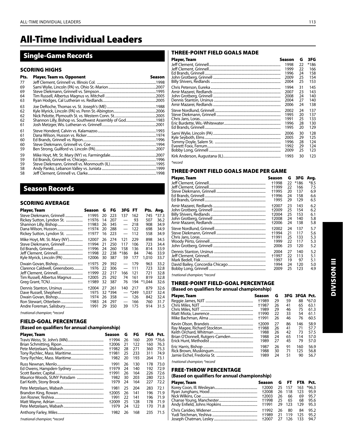# All-Time Individual Leaders

### Single-Game Records

### SCORING HIGHS

| Pts. | <b>Player, Team vs. Opponent</b> | Season |
|------|----------------------------------|--------|
| 77   |                                  |        |
| 69   |                                  |        |
| 69   |                                  |        |
| 64   |                                  |        |
| 63   |                                  |        |
| 63   |                                  |        |
| 62   |                                  |        |
| 62   |                                  |        |
| 62   |                                  |        |
| 61   |                                  |        |
| 61   |                                  |        |
| 61   |                                  |        |
| 60   |                                  |        |
| 60   |                                  |        |
| 59   |                                  |        |
| 59   |                                  |        |
| 59   |                                  |        |
| 59   |                                  |        |
| 58   |                                  |        |
| 58   |                                  |        |

### Season Records

### Scoring Average

| Player, Team                  | Season | G  | FG      | 3FG                      | <b>FT</b> | Pts.   | Avg.  |
|-------------------------------|--------|----|---------|--------------------------|-----------|--------|-------|
| Steve Diekmann, Grinnell      | †1995  | 20 | 223     | 137                      | 162       | 745    | *37.3 |
| Rickey Sutton, Lyndon St.     | †1976  | 14 | 207     | $\qquad \qquad$          | 93        | 507    | 36.2  |
|                               | †1983  | 26 | 345     | $\qquad \qquad$          | 218       | 908    | 34.9  |
|                               | †1974  | 20 | 288     |                          | 122       | 698    | 34.9  |
| Rickey Sutton, Lyndon St.     | †1977  | 16 | 223     | $\overline{\phantom{0}}$ | 112       | 558    | 34.9  |
| Mike Hoyt, Mt. St. Mary (NY)  | +2007  | 26 | 274     | 121                      | 229       | 898    | 34.5  |
| Steve Diekmann, Grinnell      | †1994  | 21 | 250     | 117                      | 106       | 723    | 34.4  |
|                               | †1996  | 24 | 260     | 158                      | 136       | 814    | 33.9  |
|                               | †1998  | 22 | 238     | *186                     | 84        | 746    | 33.9  |
| Kyle Myrick, Lincoln (PA)     | +2006  | 30 | 387     | 59                       | 177       | 1,010  | 33.7  |
|                               | †1975  | 29 | 392     | $\overline{\phantom{0}}$ | 179       | 963    | 33.2  |
| Clarence Caldwell, Greensboro | 1976   | 22 | 306     |                          | 111       | 723    | 32.8  |
| Jeff Clement, Grinnell        | +1999  | 22 | 217     | 166                      | 121       | 721    | 32.8  |
| Tim Russell, Albertus Magnus  | +2005  | 25 | 292     | 74                       | 161       | 819    | 32.8  |
|                               | †1989  | 32 | 387     | 76                       | 194       | *1,044 | 32.6  |
| Dennis Stanton, Ursinus       | +2004  | 27 | 261     | 140                      | 217       | 879    | 32.6  |
|                               | 1975   |    | 32 *394 |                          | *249      | 1.037  | 32.4  |
|                               | 1974   | 26 | 358     |                          | 126       | 842    | 32.4  |
|                               | 1983   | 24 | 297     |                          | 166       | 760    | 31.7  |
| Andre Foreman, Salisbury      | 1991   | 29 | 350     | 39                       | 175       | 914    | 31.5  |

*†national champion; \*record*

### FIELD-GOAL PERCENTAGE

### **(Based on qualifiers for annual championship)**

| Player, Team | Season | G  | FG  |     | FGA Pct. |
|--------------|--------|----|-----|-----|----------|
|              | +1994  | 26 | 160 | 209 | $*76.6$  |
|              | +2006  | 21 | 122 | 160 | 76.3     |
|              | +1982  | 28 | 271 | 360 | 75.3     |
|              | +1981  | 25 | 233 | 311 | 74.9     |
|              | 1982   | 20 | 193 | 264 | 73.1     |
|              | 1991   | 26 | 130 | 178 | 73.0     |
|              | +1979  | 24 | 140 | 192 | 72.9     |
|              | +1991  | 26 | 164 | 226 | 72.6     |
|              | 1982   | 30 | 203 | 280 | 72.5     |
|              | 1979   | 24 | 164 | 227 | 72.2     |
|              | 1981   | 25 | 204 | 283 | 72.1     |
|              | +2005  | 26 | 141 | 196 | 71.9     |
|              | 1991   | 22 | 141 | 196 | 71.9     |
|              | +2009  | 25 | 128 | 178 | 71.9     |
|              | 1979   | 24 | 122 | 170 | 71.8     |
|              | 1982   | 26 | 168 | 235 | 71.5     |

*†national champion; \*record*

### THREE-POINT FIELD GOALS MADE

| Player, Team | Season                               | G                          | 3FG                             |
|--------------|--------------------------------------|----------------------------|---------------------------------|
|              | 1998                                 | 22                         | $*186$                          |
|              | 1999                                 | 22                         | 166                             |
|              | 1996                                 | 24                         | 158                             |
|              | 2009                                 | 25                         | 154                             |
|              | 2004                                 | 25                         | 153                             |
|              | 1994                                 | 31                         | 145                             |
|              | 2007                                 | 23                         | 143                             |
|              | 2008                                 | 24                         | 140                             |
|              | 2004                                 | 27                         | 140                             |
|              | 2006                                 | 24                         | 138                             |
|              | 2002<br>1995<br>1991<br>1996<br>1995 | 24<br>20<br>25<br>28<br>20 | 137<br>137<br>133<br>130<br>129 |
|              | 2006                                 | 30                         | 128                             |
|              | 2005                                 | 29                         | 125                             |
|              | 1996                                 | 28                         | 124                             |
|              | 1992                                 | 29                         | 124                             |
|              | 2009                                 | 25                         | 123                             |
|              | 1993                                 | 30                         | 123                             |
| *record      |                                      |                            |                                 |

### THREE-POINT FIELD GOALS MADE PER GAME

| Player, Team | Season | G  | 3FG    | Avg. |
|--------------|--------|----|--------|------|
|              | †1998  | 22 | $*186$ | *8.5 |
|              | †1999  | 22 | 166    | 7.5  |
|              | +1995  | 20 | 137    | 6.9  |
|              | †1996  | 24 | 158    | 6.6  |
|              | 1995   | 29 | 129    | 6.5  |
|              | +2007  | 23 | 143    | 6.2  |
|              | +2009  | 25 | 154    | 6.2  |
|              | +2004  | 25 | 153    | 6.1  |
|              | +2008  | 24 | 140    | 5.8  |
|              | +2006  | 24 | 138    | 5.8  |
|              | +2002  | 24 | 137    | 5.7  |
|              | +1994  | 21 | 117    | 5.6  |
|              | +1991  | 25 | 133    | 5.3  |
|              | 1999   | 22 | 117    | 5.3  |
|              | 2006   | 23 | 120    | 5.2  |
|              | 2004   | 27 | 140    | 5.2  |
|              | +1997  | 22 | 113    | 5.1  |
|              | 1997   | 19 | 97     | 5.1  |
|              | 1994   | 24 | 120    | 5.0  |
|              | 2009   | 25 | 123    | 4.9  |
|              |        |    |        |      |

*†national champion; \*record*

### THREE-POINT FIELD-GOAL PERCENTAGE

**(Based on qualifiers for annual championship)** 

| <b>Player, Team</b> | Season | G  |    | 3FG 3FGA Pct. |         |
|---------------------|--------|----|----|---------------|---------|
|                     | +1989  | 29 | 59 | 88            | $*67.0$ |
|                     | +1987  | 26 | 41 | 65            | 63.1    |
|                     | 1989   | 29 | 46 | 75            | 61.3    |
|                     | +1990  | 22 | 33 | 54            | 61.1    |
|                     | +1991  | 26 | 46 | 76            | 60.5    |
|                     | +2009  | 27 | 86 | 146           | 58.9    |
|                     | +1988  | 26 | 41 | 71            | 57.7    |
|                     | 1988   | 26 | 42 | 73            | 57.5    |
|                     | 1988   | 24 | 65 | 114           | 57.0    |
|                     | 1989   | 27 | 45 | 79            | 57.0    |
|                     | 1987   | 26 | 91 | 160           | 56.9    |
|                     | 1988   | 30 | 71 | 125           | 56.8    |
|                     | 1989   | 24 | 51 | 90            | 56.7    |

*†national champion; \*record*

### FREE-THROW PERCENTAGE

### **(Based on qualifiers for annual championship)**

| Player, Team | Season G FT FTA Pct.   |      |    |            |      |
|--------------|------------------------|------|----|------------|------|
|              | +2000 25 157 163 *96.3 |      |    |            |      |
|              | +2008 26 118 123 95.9  |      |    |            |      |
|              | +2003                  | - 26 |    | 66 69 95.7 |      |
|              | +1998 25 65 68 95.6    |      |    |            |      |
|              |                        |      |    | 129 95.3   |      |
|              | +1992                  | - 26 | 80 | 84         | 95.2 |
|              | +1989 21 119           |      |    | 125 95.2   |      |
|              | +2007 27 126 133 94.7  |      |    |            |      |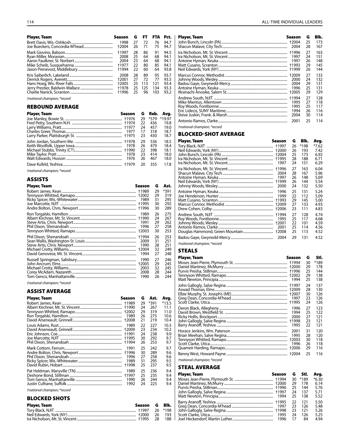| <b>Player, Team</b>                                   | Season                                  | G                            | FT.                                | <b>FTA</b>                    | Pct.                                 | Player, Team<br>season | G                          | Blk.                            |
|-------------------------------------------------------|-----------------------------------------|------------------------------|------------------------------------|-------------------------------|--------------------------------------|------------------------|----------------------------|---------------------------------|
|                                                       | 1998                                    | 26                           | 27 72<br>71                        | 76<br>75                      | 94.7<br>94.7                         |                        | 25<br>28                   | 173<br>167                      |
|                                                       | +1997<br>2008<br>2004<br>+1977<br>†1994 | 28<br>- 25<br>23<br>22<br>22 | 86<br>64<br>64<br>80<br>60         | 91<br>68<br>68<br>85<br>64    | 94.5<br>94.1<br>94.1<br>94.1<br>93.8 |                        | 27<br>24<br>26<br>29<br>26 | 163<br>151<br>148<br>145<br>144 |
|                                                       | 2008<br>+2001<br>+2005                  | 28<br>27<br>-25              | 89<br>72<br>25 113<br>25 125<br>96 | 95<br>77<br>121<br>134<br>103 | 93.7<br>93.5<br>93.4<br>93.3<br>93.2 | 2000                   | 27<br>24<br>29<br>25<br>29 | 133<br>132<br>131<br>131<br>129 |
| tnational champion; *record<br><b>REBOUND AVERAGE</b> |                                         |                              |                                    |                               |                                      | 1995<br>1995           | 27<br>27<br>25             | 128<br>118<br>117               |

| <b>Player, Team</b> | Season |    | G Reb. | Avg.   |
|---------------------|--------|----|--------|--------|
|                     |        | 29 | *579   | *19.97 |
|                     |        | 22 | 436    | 19.8   |
|                     |        | 24 | 457    | 19.0   |
|                     |        | 17 | 318    | 18.7   |
|                     |        | 23 | 430    | 18.7   |
|                     |        | 29 | 536    | 18.5   |
|                     |        | 26 | 479    | 18.4   |
|                     |        | 22 | 398    | 18.1   |
|                     |        | 23 | 414    | 18.0   |
|                     |        | 26 | 467    | 18.0   |
|                     |        | 20 | 355    | 17.8   |

*†national champion; \*record*

### ASSISTS

| Player, Team | Season | G  | Ast.   |
|--------------|--------|----|--------|
|              |        | 29 | $*391$ |
|              |        | 29 | 319    |
|              | 1989   | 31 | 295    |
|              | +1995  | 30 | 292    |
|              | +1996  | 30 | 289    |
|              | 1989   | 26 | 275    |
|              |        | 24 | 267    |
|              | 1991   | 29 | 262    |
|              | 1996   | 27 | 258    |
|              |        | 30 | 253    |
|              |        | 26 | 253    |
|              | 2009   | 31 | 251    |
|              | 1990   | 28 | 251    |
|              |        | 32 | 249    |
|              | 1994   | 27 | 248    |
|              | 1990   | 27 | 246    |
|              |        | 29 | 245    |
|              | 2003   | 32 | 245    |
|              | 2008   | 28 | 244    |
|              | 1990   | 26 | 244    |

*†national champion; \*record*

### ASSIST AVERAGE

| Player, Team | Season | G  | Ast. | Avg.    |
|--------------|--------|----|------|---------|
|              |        | 29 | *391 | $*13.5$ |
|              |        | 24 | 267  | 11.1    |
|              |        | 29 | 319  | 11.0    |
|              | 1989   | 26 | 275  | 10.6    |
|              | +2008  | 21 | 219  | 10.4    |
|              | 1989   | 22 | 227  | 10.3    |
|              | +2009  | 23 | 234  | 10.2    |
|              |        | 24 | 238  | 9.9     |
|              |        | 30 | 292  | 9.7     |
|              | +1994  | 26 | 253  | 9.7     |
|              | 1991   | 25 | 242  | 9.7     |
|              | †1996  | 30 | 289  | 9.6     |
|              | 1996   | 27 | 258  | 9.6     |
|              | 1989   | 31 | 295  | 9.5     |
|              | +1998  | 25 | 237  | 9.5     |
|              | 1989   | 25 | 236  | 9.4     |
|              | +1997  | 25 | 235  | 9.4     |
|              | 1990   | 26 | 244  | 9.4     |
|              | 1992   | 24 | 225  | 9.4     |

*†national champion; \*record*

### Blocked Shots

| Player, Team | Season G Blk. |            |
|--------------|---------------|------------|
|              |               |            |
|              |               | - 26 - 193 |
|              |               | 188        |

| Player, Team | Season<br>2004                | G<br>25<br>28              | Blk.<br>173<br>167              |
|--------------|-------------------------------|----------------------------|---------------------------------|
|              | 1997<br>1997<br>+1999         | 27<br>24<br>26<br>29<br>26 | 163<br>151<br>148<br>145<br>144 |
|              | +2009<br>2000<br>2004<br>1996 | 27<br>24<br>29<br>25<br>29 | 133<br>132<br>131<br>131<br>129 |
|              | 1995<br>1995<br>1994<br>2004  | 27<br>27<br>25<br>26<br>30 | 128<br>118<br>117<br>116<br>114 |
|              | 2001                          | 25                         | 114                             |

*†national champion; \*record*

### Blocked-Shot AVERAGE

| Player, Team | Season         | G        | Blk.       | Avg.         |
|--------------|----------------|----------|------------|--------------|
|              | +1997          | 26       | *198       | *7.62        |
|              | +2000          | 26       | 193        | 7.42         |
|              | +2004<br>+1995 | 25<br>28 | 173<br>188 | 6.92<br>6.71 |
|              | 1997           | 24       | 151        | 6.29         |
|              | +1996          | 27       | 163        | 6.04         |
|              | 2004           | 28       | 167        | 5.96         |
|              | 1997           | 26       | 148        | 5.69         |
|              | †1999          | 26       | 144        | 5.54         |
|              | 2000           | 24       | 132        | 5.50         |
|              | 1996           | 25       | 131        | 5.24         |
|              | 1999           | 22       | 112        | 5.09         |
|              | +1993          | 29       | 145        | 5.00         |
|              | +2009          | 27       | 133        | 4.93         |
|              | +2006          | 23       | 111        | 4.83         |
|              | +1994          | 27       | 128        | 4.74         |
|              | 1995           | 25       | 117        | 4.68         |
|              | +2001          | 22       | 101        | 4.59         |
|              | 2001           | 25       | 114        | 4.56         |
|              | +2008          | 25       | 113        | 4.52         |
|              | 2004           | 29       | 131        | 4.52         |
|              |                |          |            |              |

*†national champion; \*record*

### **STEALS**

| Player, Team | Season        | G        | Stl.       |
|--------------|---------------|----------|------------|
|              |               | 30       | *189       |
|              | +1996         | 29<br>25 | 178<br>144 |
|              | +2002         | 29       | 138        |
|              | 1994          | 25       | 138        |
|              | +1997         | 24       | 137        |
|              | +2009         | 28       | 130        |
|              | +2007         | 30       | 126        |
|              | 1997<br>+1995 | 23       | 126<br>126 |
|              |               | 24       |            |
|              | 1996          | 27       | 123        |
|              | 1994<br>2000  | 25<br>27 | 122<br>121 |
|              |               | 23       | 121        |
|              | 1995          | 22       | 121        |
|              | 2001          | 31       | 120        |
|              | 1995          | 28       | 120        |
|              | +2003         | 30       | 118        |
|              | 1996          | 26       | 118        |
|              | +2006         | 29       | 116        |
|              |               | 25       | 116        |

*†national champion; \*record*

### Steal AVERAGE

| <b>Player, Team</b> | Season | G  | Stl.   | Avg.    |
|---------------------|--------|----|--------|---------|
|                     |        | 30 | $*189$ | $*6.30$ |
|                     |        | 29 | 178    | 6.14    |
|                     |        | 25 | 144    | 5.76    |
|                     |        | 24 | 137    | 5.71    |
|                     | 1994   | 25 | 138    | 5.52    |
|                     |        | 22 | 121    | 5.50    |
|                     | 1997   | 23 | 126    | 5.48    |
|                     |        | 23 | 121    | 5.26    |
|                     | 1995   | 24 | 126    | 5.25    |
|                     |        | 17 | 84     | 4.94    |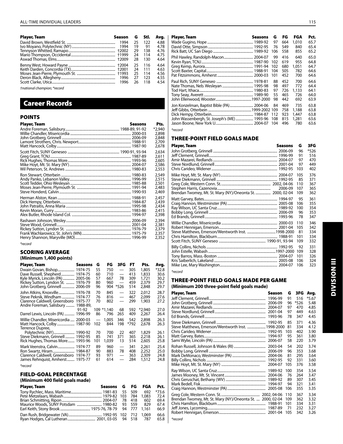#### All-Time Individual Leaders 115

| Player, Team | Season | G    | Stl.  | Ava. | Plaver, Team                                                                                                                                          | Seasons G FG FGA |        |            | Pct.                         |
|--------------|--------|------|-------|------|-------------------------------------------------------------------------------------------------------------------------------------------------------|------------------|--------|------------|------------------------------|
|              |        | 25   | 122   | 4.88 |                                                                                                                                                       |                  |        | 1,010      | 65.7                         |
|              |        | - 19 | 91    | 4.78 |                                                                                                                                                       |                  |        | 840        | 65.4                         |
|              |        |      | 138   | 4.76 |                                                                                                                                                       |                  |        | 855        | 65.2                         |
|              |        |      | 114   | 4.75 |                                                                                                                                                       |                  |        | 640        | 65.0                         |
|              |        |      | 130   | 4.64 |                                                                                                                                                       |                  |        | 955        | 64.8                         |
|              |        |      | - 116 | 4.64 |                                                                                                                                                       |                  |        | 1.051      | 64.7                         |
|              |        |      | - 111 | 4.63 |                                                                                                                                                       |                  |        | 782        | 64.6                         |
|              |        | -25  | - 114 | 4.56 |                                                                                                                                                       |                  |        | 700        | 64.6                         |
|              |        | 27   | - 123 | 4.55 |                                                                                                                                                       |                  |        |            |                              |
|              |        | 26   | 118   | 4.54 | $M_{\text{min}}$ , $T_{\text{min}}$ , $M_{\text{min}}$ , $M_{\text{min}}$ , $M_{\text{min}}$ , $M_{\text{max}}$ , $M_{\text{max}}$ , $M_{\text{max}}$ |                  | 88 452 | 700<br>773 | 64.6<br>$\sim$ $\sim$ $\sim$ |

*†national champion; \*record*

### Career Records

### POINTS

| Player, Team | Seasons | Pts.                                       |
|--------------|---------|--------------------------------------------|
|              |         | *2,940<br>2,898<br>2,848<br>2.709<br>2,678 |
|              |         | 2.634<br>2.611<br>2.605<br>2,586<br>2,553  |
|              |         | 2,549<br>2,515<br>2,501<br>2,483<br>2,469  |
|              |         | 2.457<br>2.439<br>2,434<br>2.415<br>2,398  |
|              |         | 2.394<br>2,381<br>2,379<br>2,357<br>2,352  |

*\*record*

#### SCORING AVERAGE **(Minimum 1,400 points)**

| Player, Team                                                    | Seasons | G        | FG                | 3FG                      | FT.        | Pts.            | Avg.            |
|-----------------------------------------------------------------|---------|----------|-------------------|--------------------------|------------|-----------------|-----------------|
| Dwain Govan, Bishop 1974-75<br>Dave Russell, Shepherd 1974-75   |         | 55<br>60 | 750<br>710        |                          | 305<br>413 | 1,805<br>1,833  | $*32.8$<br>30.6 |
| Kyle Myrick, Lincoln (PA)                                       | 2005-06 | 57       | 667               | 78                       | 309        | 1,721           | 30.2            |
| Rickey Sutton, Lyndon St.<br>John Grotberg, Grinnell  2006-09   | 1976-79 | 80<br>96 | 960<br>904        | *526                     | 459<br>514 | 2,379<br>2,848  | 29.7<br>29.7    |
| John Atkins, Knoxville 1976-78                                  |         | 70       | 845               | $\overline{\phantom{0}}$ | 322        | 2,012           | 28.7            |
| Steve Peknik, Windham  1974-77<br>Clarence Caldwell, Greensboro | 1975-77 | 76<br>70 | 816<br>802        |                          | 467<br>299 | 2,099<br>1,903  | 27.6<br>27.2    |
| Andre Foreman, Salisbury  1988-89,                              |         |          |                   |                          |            |                 |                 |
| Darrel Lewis, Lincoln (PA)  1996-99                             | 91-92   | 86       | 109 *1,140<br>796 | 68<br>265                | 592<br>409 | *2,940<br>2,267 | 27.0<br>26.4    |
| Willie Chandler, Misericordia  2000-03                          |         |          | 1.005             | 346                      | 542        | 2,898           | 26.3            |
| Matt Hancock, Colby 1987-90                                     |         | 102      | 844               | 198                      | *792       | 2,678           | 26.3            |
| Terrence Dupree,                                                |         | 70       | 700               | 22                       | 407        | 1,829           | 26.1            |
| Steve Diekmann, Grinnell  1992-95                               |         | 85       | 741               | 371                      | 365        | 2,218           | 26.1            |
| Rick Hughes, Thomas More 1993-96                                |         | 101      | 1,039             | 13                       | 514        | 2,605           | 25.8            |
| Mark Veenstra, Calvin 1974-77                                   |         | 89       | 960               | $\overline{\phantom{0}}$ | 341        | 2,261           | 25.4            |
| Clarence Caldwell, Greensboro                                   | 1974-77 | 90<br>93 | 883<br>971        | 78                       | 408<br>363 | 2,252<br>2,309  | 25.0<br>24.8    |
| James Rehnquist, Amherst 1975-77                                |         | 61       | 614               | $\overline{\phantom{0}}$ | 284        | 1,512           | 24.8            |
| *record                                                         |         |          |                   |                          |            |                 |                 |

### FIELD-GOAL PERCENTAGE

### **(Minimum 400 field goals made)**

|  |     | Pct.             |
|--|-----|------------------|
|  | 692 | $*73.6$          |
|  |     | 72.4             |
|  | 602 | 69.4             |
|  | 829 | 67.4             |
|  |     | 66.9             |
|  |     | 66.6<br>65.8     |
|  |     | Seasons G FG FGA |

| riayer, Iealli                            | JEASUIIS | u   | гч  | гчм   | ru.  |
|-------------------------------------------|----------|-----|-----|-------|------|
|                                           |          | 97  | 664 | 1,010 | 65.7 |
|                                           |          | 76  | 549 | 840   | 65.4 |
|                                           |          | 106 | 558 | 855   | 65.2 |
|                                           |          | 99  | 416 | 640   | 65.0 |
|                                           |          | 102 | 619 | 955   | 64.8 |
|                                           |          | 102 | 680 | 1.051 | 64.7 |
|                                           |          | 104 | 505 | 782   | 64.6 |
|                                           |          | 101 | 452 | 700   | 64.6 |
|                                           |          | 88  | 452 | 700   | 64.6 |
|                                           |          | 98  | 497 | 772   | 64.4 |
|                                           |          | 97  | 726 | 1,133 | 64.1 |
|                                           |          | 55  | 465 | 726   | 64.0 |
|                                           |          | 98  | 442 | 692   | 63.9 |
| Jon Konzelman, Baptist Bible (PA) 2004-06 |          | 84  | 469 | 735   | 63.8 |
|                                           |          |     | 758 | 1,188 | 63.8 |
|                                           |          |     | 923 | 1.447 | 63.8 |
|                                           |          |     |     |       |      |

Dick Hempy, Otterbein.................................................. 1984-87 112 923 1,447 63.8 John Wassenbergh, St. Joseph's (ME)..................... 1993-96 108 815 1,281 63.6

*\*record*

Jason Boone, New York U...............

### THREE-POINT FIELD GOALS MADE

| $*526$<br>96<br>91<br>516<br>97<br>470<br>97<br>449<br>103<br>402<br>376<br>105<br>85<br>371<br>110<br>367<br>2006-09<br>107<br>365<br>Brendan Twomey, Mt. St. Mary (NY)/Oneonta St.  2000, 02-04<br>109<br>362<br>95<br>361<br>106<br>355<br>100<br>354<br>96<br>353<br>78<br>347<br>110<br>346<br>105<br>342<br>81<br>334<br>101<br>334<br>109<br>332<br>331<br>92<br>109<br>328<br>101<br>326 | <b>Player, Team</b><br>Seasons | G   | 3FG |
|--------------------------------------------------------------------------------------------------------------------------------------------------------------------------------------------------------------------------------------------------------------------------------------------------------------------------------------------------------------------------------------------------|--------------------------------|-----|-----|
|                                                                                                                                                                                                                                                                                                                                                                                                  |                                |     |     |
|                                                                                                                                                                                                                                                                                                                                                                                                  |                                |     |     |
|                                                                                                                                                                                                                                                                                                                                                                                                  |                                |     |     |
|                                                                                                                                                                                                                                                                                                                                                                                                  |                                |     |     |
|                                                                                                                                                                                                                                                                                                                                                                                                  |                                |     |     |
|                                                                                                                                                                                                                                                                                                                                                                                                  |                                |     |     |
|                                                                                                                                                                                                                                                                                                                                                                                                  |                                |     |     |
|                                                                                                                                                                                                                                                                                                                                                                                                  |                                |     |     |
|                                                                                                                                                                                                                                                                                                                                                                                                  |                                |     |     |
|                                                                                                                                                                                                                                                                                                                                                                                                  |                                |     |     |
|                                                                                                                                                                                                                                                                                                                                                                                                  |                                |     |     |
|                                                                                                                                                                                                                                                                                                                                                                                                  |                                |     |     |
|                                                                                                                                                                                                                                                                                                                                                                                                  |                                |     |     |
|                                                                                                                                                                                                                                                                                                                                                                                                  |                                |     |     |
|                                                                                                                                                                                                                                                                                                                                                                                                  |                                |     |     |
|                                                                                                                                                                                                                                                                                                                                                                                                  |                                |     |     |
|                                                                                                                                                                                                                                                                                                                                                                                                  |                                |     |     |
|                                                                                                                                                                                                                                                                                                                                                                                                  |                                |     |     |
|                                                                                                                                                                                                                                                                                                                                                                                                  |                                |     |     |
|                                                                                                                                                                                                                                                                                                                                                                                                  |                                |     |     |
|                                                                                                                                                                                                                                                                                                                                                                                                  |                                |     |     |
|                                                                                                                                                                                                                                                                                                                                                                                                  |                                |     |     |
|                                                                                                                                                                                                                                                                                                                                                                                                  |                                | 106 | 324 |
| 106<br>323                                                                                                                                                                                                                                                                                                                                                                                       |                                |     |     |

*\*record* 

*\*record*

### THREE-POINT FIELD GOALS MADE PER GAME **(Minimum 200 three-point field goals made)**

Player, Team Season G 3FG Avg. Jeff Clement, Grinnell.................................................................... 1996-99 91 516 \*5.67 John Grotberg, Grinnell ............................................................... 2006-09 96 \*526 5.48 Amir Mazarei, Redlands............................................................... 2004-07 97 470 4.85 Steve Nordlund, Grinnell............................................................. 2001-04 97 449 4.63 Ed Brands, Grinnell........ Steve Diekmann, Grinnell ........................................................... 1992-95 85 371 4.36 Steve Matthews, Emerson/Wentworth Inst. ......................1998-2000 81 334 4.12 Chris Carideo, Widener................................................................. 1992-95 103 402 3.90 Matt Garvey, Bates.......................................................................... 1994-97 95 361 3.80 Sami Wylie, Lincoln (PA)............................................................... 2006-07 58 220 3.79 Rohan Russell, Johnson & Wales (RI)...................................... 2003-04 54 202 3.74 Bobby Long, Grinnell .................................................................... 2006-09 96 353 3.68 Mark DeMonaco, Westminster (PA)........................................ 2004-06 81 295 3.64 Billy Collins, Nichols....................................................................... 1992-95 92 331 3.60 Mike Hoyt, Mt. St. Mary (NY) .............................................. 2004-07 105 376 3.58 Ray Wilson, UC Santa Cruz.......................................................... 1989-92 100 354 3.54 James Mooney, Mt. St. Vincent................................................. 2004-06 76 264 3.47 Chris Geruschat, Bethany (WV)................................................ 1989-92 89 307 3.45 Mark Bedell, Fisk.............................................................................. 1994-97 94 321 3.41 Craig Hannon, Westminster (PA).............................................. 2005-08 106 355 3.35 Greg Cole, Western Conn. St............................................... 2002, 04-06 110 367 3.34 Brendan Twomey, Mt. St. Mary (NY)/Oneonta St. .... 2000, 02-04 109 362 3.32 Chris Hamilton, Blackburn.......................................................... 1988-91 101 334 3.31 Jeff Jones, Lycoming...................................................................... 1987-89 71 232 3.27 Robert Hennigan, Emerson.........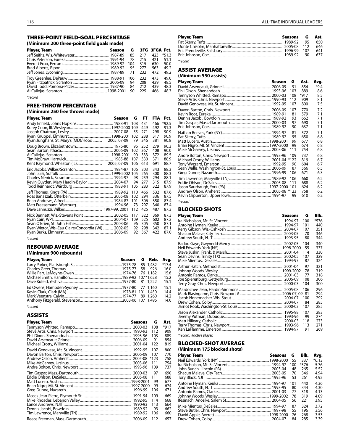#### THREE-POINT FIELD-GOAL PERCENTAGE **(Minimum 200 three-point field goals made)**

| (Millillium 200 Gillee-polity Held goals made) |        |     |               |     |         |  |  |  |
|------------------------------------------------|--------|-----|---------------|-----|---------|--|--|--|
| Player, Team                                   | Season | G   | 3FG 3FGA Pct. |     |         |  |  |  |
|                                                |        | 85  | 217           | 423 | $*51.3$ |  |  |  |
|                                                |        | 78  | 215           | 421 | 51.1    |  |  |  |
|                                                |        | 104 | 315           | 630 | 50.0    |  |  |  |
|                                                |        | 95  | 277           | 563 | 49.2    |  |  |  |
|                                                |        |     | 232           | 472 | 49.2    |  |  |  |
|                                                |        | 106 | 232           | 473 | 49.0    |  |  |  |
|                                                |        | 94  | 208           | 429 | 48.5    |  |  |  |
|                                                |        | 84  | 212           | 439 | 48.3    |  |  |  |
|                                                |        | 90  | 225           | 466 | 48.3    |  |  |  |

*\*record*

### FREE-THROW PERCENTAGE

### **(Minimum 250 free throws made)**

| Player, Team                                         | Season | G                              | FT.                             | <b>FTA</b>                      | Pct.                                 |
|------------------------------------------------------|--------|--------------------------------|---------------------------------|---------------------------------|--------------------------------------|
|                                                      |        | 108<br>55<br>102               | 431<br>449<br>271<br>288        | 466<br>492<br>298<br>317        | $*92.5$<br>91.3<br>90.9<br>90.9      |
|                                                      |        | 79                             | 346                             | 381                             | 90.8                                 |
|                                                      |        | 96<br>102<br>90<br>107<br>106  | 252<br>367<br>333<br>330<br>613 | 279<br>408<br>372<br>371<br>691 | 90.3<br>90.0<br>89.5<br>88.9<br>88.7 |
| Kevin Guyden, Mary Hardin-Baylor  2004-07            |        | 106<br>98<br>94<br>105         | 303<br>265<br>259<br>277<br>283 | 343<br>300<br>294<br>315<br>322 | 88.3<br>88.3<br>88.1<br>87.9<br>87.9 |
|                                                      |        | 110<br>102<br>101<br>73<br>112 | 466<br>294<br>306<br>297<br>425 | 532<br>336<br>350<br>340<br>487 | 87.6<br>87.5<br>87.4<br>87.4<br>87.3 |
| Ryan Wietor, Wis.-Eau Claire/Concordia (WI)  2002-05 |        | 117<br>109<br>96<br>92<br>92   | 322<br>525<br>305<br>298<br>367 | 369<br>602<br>350<br>342<br>422 | 87.3<br>87.2<br>87.1<br>87.1<br>87.0 |

*\*record*

### REBOUND AVERAGE

### **(Minimum 900 rebounds)**

| <b>Player, Team</b> | Season G Reb. |  | Avg.    |
|---------------------|---------------|--|---------|
|                     |               |  | $*17.4$ |
|                     |               |  | 16.0    |
|                     |               |  | 15.6    |
|                     |               |  | 15.2    |
|                     |               |  | 15.1    |
|                     |               |  | 15.1    |
|                     |               |  | 14.4    |
|                     |               |  | 14.2    |
|                     |               |  | 14.0    |

*\*record*

### ASSISTS

| Player, Team | Seasons | G      | Ast.   |
|--------------|---------|--------|--------|
|              |         | 108    | $*917$ |
|              |         | 112    | 909    |
|              | 1993-96 | 103    | 889    |
|              |         | 91     | 854    |
|              | 2001-04 | 122    | 819    |
|              | 1992-95 | 107    | 800    |
|              |         | 107    | 770    |
|              |         | $*123$ | 758    |
|              |         | 111    | 754    |
|              |         | 109    | 737    |
|              |         | 97     | 690    |
|              |         | 111    | 688    |
|              |         | 99     | 677    |
|              |         | 99     | 674    |
|              | 1996-99 | 106    | 671    |
|              |         | 109    | 669    |
|              |         | 114    | 668    |
|              | 1990-93 | 113    | 664    |
|              | 1989-92 | 93     | 662    |
|              |         | 106    | 660    |
|              |         | 112    | 657    |

| <b>Player, Team</b> | Seasons G Ast. |     |
|---------------------|----------------|-----|
|                     |                | 650 |
|                     |                | 646 |
|                     |                | 641 |
|                     |                | 637 |
| *record             |                |     |

### ASSIST AVERAGE **(Minimum 550 assists)**

| <b>Player, Team</b> | Season | G                      | Ast.                            | Avg.                            |
|---------------------|--------|------------------------|---------------------------------|---------------------------------|
|                     |        | 91                     | 854                             | $*9.4$                          |
|                     |        | 103                    | 889                             | 8.6                             |
|                     |        | 108                    | $*917$                          | 8.5                             |
|                     |        | 112                    | 909                             | 8.1                             |
|                     |        | 107                    | 800                             | 7.5                             |
|                     |        | 107                    | 770                             | 7.2                             |
|                     |        | 81                     | 579                             | 7.1                             |
|                     |        | 93                     | 662                             | 7.1                             |
|                     |        | 97                     | 690                             | 7.1                             |
|                     |        | 90                     | 637                             | 7.1                             |
|                     |        | 81                     | 572                             | 7.1                             |
|                     |        | 95                     | 650                             | 6.8                             |
|                     |        | 99                     | 677                             | 6.8                             |
|                     |        | 99                     | 674                             | 6.8                             |
|                     |        | 111                    | 754                             | 6.8                             |
|                     |        | 109<br>90<br>87<br>106 | 737<br>819<br>604<br>566<br>671 | 6.8<br>6.7<br>6.7<br>6.5<br>6.3 |
|                     |        | 106<br>111<br>99       | 660<br>688<br>624<br>758<br>610 | 6.2<br>6.2<br>6.2<br>6.2<br>6.2 |

*<sup>\*</sup>record*

### BlockED SHOTS

|              | Seasons                       | G                             | Blk.                             |
|--------------|-------------------------------|-------------------------------|----------------------------------|
| Player, Team | 1994-97<br>1993-95            | 100<br>101<br>107<br>70<br>80 | *576<br>440<br>351<br>346<br>344 |
|              |                               | 104                           | 340                              |
|              |                               | 55                            | 337                              |
|              |                               | 114                           | 330                              |
|              |                               | 107                           | 329                              |
|              |                               | 87                            | 324                              |
|              |                               | 97                            | 321                              |
|              |                               | 78                            | 319                              |
|              |                               | 77                            | 318                              |
|              |                               | 108                           | 306                              |
|              |                               | 104                           | 300                              |
|              |                               | 106                           | 296                              |
|              |                               | 81                            | 294                              |
|              |                               | 100                           | 292                              |
|              |                               | 84                            | 285                              |
|              |                               | 107                           | 285                              |
|              | 1995-98<br>1993-96<br>1994-97 | 107<br>99<br>118<br>113<br>91 | 283<br>274<br>273<br>271<br>269  |

*\*record. #active player.*

### Blocked-Shot AVERAGE

### **(Minimum 175 blocked shots)**  Player, Team Seasons G Blk. Avg. Neil Edwards, York (NY)............................................................1998-2000 55 337 \*6.13 Ira Nicholson, Mt. St. Vincent................................................... 1994-97 100 \*576 5.76 John Bunch, Lincoln (PA)........................................................... 2003-04 48 265 5.52 Shacun Malave, City Tech.......................................................... 2003-05 70 346 4.94 Tory Black, NJIT . Antoine Hyman, Keuka .............................................................. 1994-97 101 440 4.36 Andrew South, NJIT .................................................................... 1993-95 80 344 4.30 Antonio Ramos, Clarke............................................................... 2001-03 77 318 4.13 Johnny Woods, Wesley.............................................................1999-2002 78 319 4.09 Ifesinachi Anosike, Salem St..................................................... 2004-05 56 221 3.95 Mike Mientus, DeSales................................................................ 1994-97 87 324 3.72

Steve Butler, Chris. Newport.................................................... 1997-98 55 196 3.56 David Apple, Averett.................................................................1998-2000 76 268 3.53 Drew Cohen, Colby...................................................................... 2004-07 84 285 3.39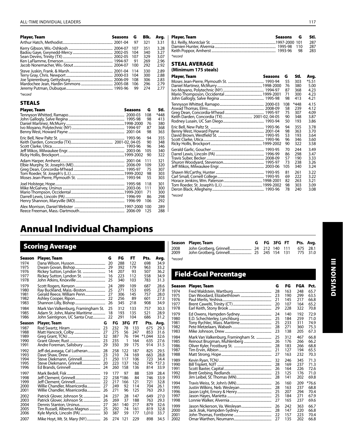### All-Time Individual Leaders 117

| <b>Player, Team</b> | Seasons G | Blk. | Ava. | Player, Team                        | Seasons    | G     | Stl.    |
|---------------------|-----------|------|------|-------------------------------------|------------|-------|---------|
|                     |           |      | 3.31 |                                     |            |       | 287     |
|                     |           |      | 3.28 |                                     |            | - 110 | 287     |
|                     |           |      | 3.27 |                                     |            |       | 283     |
|                     |           |      | 3.07 | *record                             |            |       |         |
|                     |           |      | 2.96 |                                     |            |       |         |
|                     |           |      | 2.92 | <b>STEAL AVERAGE</b>                |            |       |         |
|                     |           |      | 2.89 | (Minimum 175 steals)                |            |       |         |
|                     |           |      | 2.88 | Player, Team<br>Seasons G           |            | Stl.  | Avg.    |
|                     |           |      | 2.83 |                                     |            | 303   | $*5.51$ |
|                     |           |      | 2.79 |                                     |            | 380   | 5.00    |
|                     |           |      | 2.77 | <u>Ivo Movano, Polytechnic (NY)</u> | 1994-97 87 | 368   | 4.23    |

### *\*record*

### **STEALS**

| <b>Player, Team</b> | <b>Seasons</b> | G   | Stl. |
|---------------------|----------------|-----|------|
|                     |                | 108 | *448 |
|                     |                | 98  | 413  |
|                     |                | 76  | 380  |
|                     |                | 87  | 368  |
|                     |                | 98  | 363  |
|                     |                | 94  | 355  |
|                     |                | 90  | 348  |
|                     |                | 96  | 346  |
|                     |                | 105 | 340  |
|                     |                | 90  | 322  |
|                     |                | 111 | 321  |
|                     |                | 109 | 320  |
|                     |                | 75  | 307  |
|                     |                | 98  | 303  |
|                     |                | 55  | 303  |
|                     |                | 118 | 301  |
|                     |                | 111 | 300  |
|                     |                | 71  | 300  |
|                     |                | 86  | 298  |
|                     |                | 106 | 292  |
|                     |                | 100 | 289  |
|                     |                | 125 | 288  |

| Player, Team | Seasons G | Stl. |
|--------------|-----------|------|
|              |           | 287  |
|              |           | 287  |
|              |           | -283 |
| *record      |           |      |

### Steal AVERAGE

#### **(Minimum 175 steals)**

| Player, Team | Seasons | G   | Stl. | Avg.    |
|--------------|---------|-----|------|---------|
|              |         | 55  | 303  | $*5.51$ |
|              |         | 76  | 380  | 5.00    |
|              |         | 87  | 368  | 4.23    |
|              |         | 71  | 300  | 4.23    |
|              |         | 98  | 413  | 4.21    |
|              |         | 108 | *448 | 4.15    |
|              |         | 58  | 239  | 4.12    |
|              |         | 75  | 307  | 4.09    |
|              |         | 90  | 348  | 3.87    |
|              |         | 50  | 193  | 3.86    |
|              |         | 94  | 355  | 3.78    |
|              |         | 98  | 363  | 3.70    |
|              |         | 53  | 193  | 3.64    |
|              |         | 96  | 346  | 3.60    |
|              |         | 90  | 322  | 3.58    |
|              |         | 70  | 244  | 3.49    |
|              |         | 86  | 298  | 3.47    |
|              |         | 57  | 190  | 3.33    |
|              |         | 73  | 238  | 3.26    |
|              |         | 105 | 340  | 3.24    |
|              |         | 81  | 261  | 3.22    |
|              |         | 69  | 222  | 3.22    |
|              |         | 82  | 263  | 3.21    |
|              |         | 98  | 303  | 3.09    |
|              |         | 78  | 240  | 3.08    |

*\*record*

# Annual Individual Champions

|                                      | <b>Scoring Average</b>                                                                   |                            |                          |                                   |                               |                                 |                                      |
|--------------------------------------|------------------------------------------------------------------------------------------|----------------------------|--------------------------|-----------------------------------|-------------------------------|---------------------------------|--------------------------------------|
| Season                               | Player, Team                                                                             |                            | G                        | FG                                | FT.                           | Pts.                            | Avg.                                 |
| 1974                                 |                                                                                          |                            | 20                       | 288                               | 122                           | 698                             | 34.9                                 |
| 1975                                 |                                                                                          |                            | 29                       | 392                               | 179                           | 963                             | 33.2                                 |
| 1976                                 | Rickey Sutton, Lyndon St.                                                                |                            | 14                       | 207                               | 93                            | 507                             | 36.2                                 |
| 1977                                 | Rickey Sutton, Lyndon St.                                                                |                            | 16                       | 223                               | 112                           | 558                             | 34.9                                 |
| 1978                                 |                                                                                          |                            | 25                       | 340                               | 103                           | 783                             | 31.3                                 |
| 1979                                 |                                                                                          |                            | 24                       | 289                               | 109                           | 687                             | 28.6                                 |
| 1980                                 | Ray Buckland, Mass.-Boston                                                               |                            | 25                       | 271                               | 153                           | 695                             | 27.8                                 |
| 1981                                 | Gerald Reece, William Penn                                                               |                            | 27                       | 306                               | 145                           | 757                             | 28.0                                 |
| 1982                                 |                                                                                          |                            | 22                       | 256                               | 89                            | 601                             | 27.3                                 |
| 1983                                 |                                                                                          |                            | 26                       | 345                               | 218                           | 908                             | 34.9                                 |
| 1984                                 | Mark Van Valkenburg, Framingham St.                                                      |                            | 25                       | 312                               | 133                           | 757                             | 30.3                                 |
| 1985                                 | Adam St. John, Maine Maritime                                                            |                            | 18                       | 193                               | 135                           | 521                             | 28.9                                 |
| 1986                                 | John Saintignon, UC Santa Cruz                                                           |                            | 22                       | 291                               | 104                           | 686                             | 31.2                                 |
| Season                               | Player, Team                                                                             | G                          | FG                       | 3FG                               | FT.                           | Pts.                            | Avg.                                 |
| 1987                                 |                                                                                          | 23                         | 232                      | 78                                | 133                           | 675                             | 29.3                                 |
| 1988                                 |                                                                                          | 27                         | 275                      | 56                                | 247                           | 853                             | 31.6                                 |
| 1989                                 |                                                                                          | 32                         | 387                      | 76                                | 194                           | $*1,044$                        | 32.6                                 |
| 1990                                 |                                                                                          | 23                         | 235                      | 1                                 | 164                           | 635                             | 27.6                                 |
| 1991                                 | Andre Foreman, Salisbury                                                                 | 29                         | 350                      | 39                                | 175                           | 914                             | 31.5                                 |
| 1992                                 | Jeff deLaveaga, Cal Lutheran                                                             | 28                         | 258                      | 122                               | 187                           | 825                             | 29.5                                 |
| 1993                                 |                                                                                          | 23                         | 210                      | 74                                | 169                           | 663                             | 28.8                                 |
| 1994                                 | Steve Diekmann, Grinnell                                                                 | 21                         | 250                      | 117                               | 106                           | 723                             | 34.4                                 |
| 1995                                 | Steve Diekmann, Grinnell                                                                 | 20                         | 223                      | 137                               | 162                           | 745                             | $*37.3$                              |
| 1996                                 |                                                                                          | 24                         | 260                      | 158                               | 136                           | 814                             | 33.9                                 |
| 1997<br>1998<br>1999<br>2000<br>2001 | Jeff Clement, Grinnell<br>Willie Chandler, Misericordia<br>Willie Chandler, Misericordia | 19<br>22<br>22<br>27<br>26 | 177<br>217<br>249<br>271 | 97<br>238 *186<br>166<br>92<br>96 | 88<br>84<br>121<br>114<br>125 | 539<br>746<br>721<br>704<br>763 | 28.4<br>33.9<br>32.8<br>26.1<br>29.3 |
| 2002                                 | Patrick Glover, Johnson St                                                               | 24                         | 237                      | 28                                | 147                           | 649                             | 27.0                                 |
| 2003                                 | Patrick Glover, Johnson St                                                               | 26                         | 269                      | 37                                | 188                           | 763                             | 29.3                                 |
| 2004                                 |                                                                                          | 27                         | 261                      | 140                               | 217                           | 879                             | 32.6                                 |
| 2005                                 | Tim Russell, Albertus Magnus                                                             | 25                         | 292                      | 74                                | 161                           | 819                             | 32.8                                 |
| 2006                                 | Kyle Myrick, Lincoln (PA)                                                                | 30                         | 387                      | 59                                | 177                           | 1,010                           | 33.7                                 |
| 2007                                 | Mike Hoyt, Mt. St. Mary (NY)                                                             | 26                         | 274                      | 121                               | 229                           | 898                             | 34.5                                 |

|              | Season Player, Team |  |  | G FG 3FG FT Pts. Avg. |                      |
|--------------|---------------------|--|--|-----------------------|----------------------|
| 2008<br>2009 |                     |  |  |                       | 675 28.1<br>775 31.0 |
| *record      |                     |  |  |                       |                      |

### Field-Goal Percentage

| Season | Player, Team                        | G  | FG  | FGA | Pct.    |
|--------|-------------------------------------|----|-----|-----|---------|
| 1974   |                                     | 28 | 163 | 248 | 65.7    |
| 1975   |                                     | 23 | 190 | 299 | 63.5    |
| 1976   |                                     | 21 | 145 | 217 | 66.8    |
| 1977   |                                     | 20 | 107 | 164 | 65.2    |
| 1978   |                                     | 29 | 228 | 322 | 70.8    |
| 1979   |                                     | 24 | 140 | 192 | 72.9    |
| 1980   |                                     | 25 | 184 | 259 | 71.0    |
| 1981   |                                     | 25 | 233 | 311 | 74.9    |
| 1982   |                                     | 28 | 271 | 360 | 75.3    |
| 1983   |                                     | 23 | 138 | 205 | 67.3    |
| 1984   | Mark Van Valkenburg, Framingham St. | 25 | 312 | 467 | 66.8    |
| 1985   |                                     | 26 | 176 | 266 | 66.2    |
| 1986   |                                     | 28 | 183 | 266 | 68.8    |
| 1987   |                                     | 21 | 127 | 194 | 65.5    |
| 1988   |                                     | 27 | 163 | 232 | 70.3    |
| 1989   |                                     | 32 | 246 | 345 | 71.3    |
| 1990   |                                     | 28 | 169 | 237 | 71.3    |
| 1991   |                                     | 26 | 164 | 226 | 72.6    |
| 1992   |                                     | 23 | 125 | 176 | 71.0    |
| 1993   |                                     | 28 | 141 | 202 | 69.8    |
| 1994   |                                     | 26 | 160 | 209 | $*76.6$ |
| 1995   |                                     | 28 | 163 | 237 | 68.8    |
| 1996   |                                     | 25 | 207 | 294 | 70.4    |
| 1997   |                                     | 25 | 184 | 271 | 67.9    |
| 1998   |                                     | 27 | 165 | 237 | 69.6    |
| 1999   |                                     | 26 | 242 | 363 | 66.7    |
| 2000   |                                     | 28 | 147 | 220 | 66.8    |
| 2001   |                                     | 22 | 157 | 223 | 70.4    |
| 2002   |                                     | 27 | 135 | 202 | 66.8    |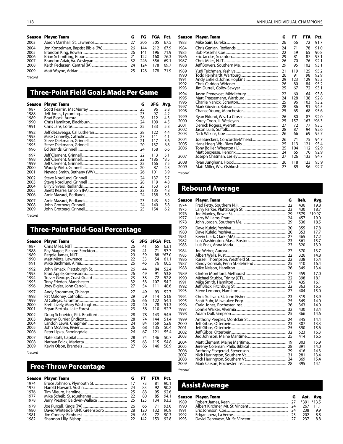|         | Season Player, Team |  |  |      | G FG FGA Pct.   Season Player, Team                                                                                                                                                                                              | - FT       |         | FTA Pct. |
|---------|---------------------|--|--|------|----------------------------------------------------------------------------------------------------------------------------------------------------------------------------------------------------------------------------------|------------|---------|----------|
| 2003    |                     |  |  | 1983 |                                                                                                                                                                                                                                  |            | 72      | 91.7     |
| 2004    |                     |  |  | 1984 |                                                                                                                                                                                                                                  |            |         | 91.0     |
| 2005    |                     |  |  | 1985 |                                                                                                                                                                                                                                  |            | 65 90.8 |          |
| 2006    |                     |  |  | 1986 |                                                                                                                                                                                                                                  |            |         |          |
| 2007    |                     |  |  | 1987 |                                                                                                                                                                                                                                  |            |         |          |
| 2008    |                     |  |  | 1988 |                                                                                                                                                                                                                                  |            |         |          |
| 2009    |                     |  |  | 1989 |                                                                                                                                                                                                                                  |            | - 125   | 95.2     |
| *record |                     |  |  | 1990 |                                                                                                                                                                                                                                  |            |         | 92.9     |
|         |                     |  |  | 1001 | $\mathbf{A}$ and the France should be a function of the set of the set of the set of the set of the set of the set of the set of the set of the set of the set of the set of the set of the set of the set of the set of the set | $20 - 122$ |         | 120000   |

### Three-Point Field Goals Made Per Game

| Season       | Player, Team | G        | 3FG        | Avg.       |
|--------------|--------------|----------|------------|------------|
| 1987         |              | 25       | 96         | 3.8        |
| 1988         |              | 23       | 97         | 4.2        |
| 1989<br>1990 |              | 26       | 112<br>109 | 4.3<br>4.5 |
| 1991         |              | 24<br>25 | 133        | 5.3        |
| 1992         |              | 28       | 122        | 4.4        |
| 1993         |              | 27       | 111        | 4.1        |
| 1994         |              | 21       | 117        | 5.6        |
| 1995<br>1996 |              | 20<br>24 | 137<br>158 | 6.8<br>6.6 |
| 1997         |              | 22       | 113        | 5.1        |
| 1998         |              | 22       | $*186$     | $*8.5$     |
| 1999         |              | 22       | 166        | 7.5        |
| 2000         |              | 20       | 87         | 43         |
| 2001         |              | 26       | 101        | 3.9        |
| 2002         |              | 24       | 137        | 5.7        |
| 2003         |              | 28       | 119        | 4.8        |
| 2004         |              | 25       | 153        | 6.1        |
| 2005<br>2006 |              | 22<br>24 | 105<br>138 | 4.8<br>5.8 |
|              |              |          |            |            |
| 2007         |              | 23       | 143        | 6.2        |
| 2008         |              | 24       | 140        | 5.8        |
| 2009         |              | 25       | 154        | 6.2        |

*\*record*

## Three-Point Field-Goal Percentage

| Season       | Player, Team | G        | 3FG.     | 3FGA Pct. |                 |
|--------------|--------------|----------|----------|-----------|-----------------|
| 1987         |              | 26       | 41       | 65        | 63.1            |
| 1988         |              | 26       | 41       | 71        | 57.7            |
| 1989<br>1990 |              | 29<br>22 | 59       | 88        | $*67.0$<br>61.1 |
| 1991         |              | 26       | 33<br>46 | 54<br>76  | 60.5            |
| 1992         |              | 26       | 44       | 84        | 52.4            |
| 1993         |              | 26       | 49       | 91        | 53.8            |
| 1994         |              | 23       | 38       | 72        | 52.8            |
| 1995         |              | 32       | 58       | 107       | 54.2            |
| 1996         |              | 27       | 54       | 111       | 48.6            |
| 1997         |              | 27       | 49       | 93        | 52.7            |
| 1998         |              | 29       | 59       | 114       | 51.8            |
| 1999         |              | 26       | 66       | 122       | 54.1            |
| 2000         |              | 20       | 40       | 78        | 51.3            |
| 2001         |              | 23       | 58       | 110       | 52.7            |
| 2002         |              | 28       | 78       | 143       | 54.5            |
| 2003         |              | 28       | 74       | 144       | 51.4            |
| 2004         |              | 24       | 84       | 159       | 52.8            |
| 2005         |              | 26       | 68       | 135       | 50.4            |
| 2006         |              | 26       | 67       | 121       | 55.4            |
| 2007         |              | 28       | 74       | 146       | 50.7            |
| 2008         |              | 25       | 63       | 115       | 54.8            |
| 2009         |              | 27       | 86       | 146       | 58.9            |

*\*record*

## Free-Throw Percentage

|      | Season Player, Team |     | FT. | <b>FTA</b> | Pct. |
|------|---------------------|-----|-----|------------|------|
| 1974 |                     |     | 73  | 81         | 90.1 |
| 1975 |                     | 24  | 83  | 92         | 90.2 |
| 1976 |                     |     | 88  | 95         | 92.6 |
| 1977 |                     |     | 80  | 85         | 94.1 |
| 1978 |                     |     | 125 | 134        | 93.3 |
| 1979 |                     |     | 66  | -71        | 93.0 |
| 1980 |                     | -28 | 120 | 132        | 90.9 |
| 1981 |                     | -26 | 65  | 72         | 90.3 |
| 1982 |                     |     | 142 | 153        | 92.8 |

| <b>Season</b>                | Player, Team | G                          | FT                            | <b>FTA</b>                    | Pct.                                 |
|------------------------------|--------------|----------------------------|-------------------------------|-------------------------------|--------------------------------------|
| 1983                         |              | 26                         | 66                            | 72                            | 91.7                                 |
| 1984                         |              | 24                         | 71                            | 78                            | 91.0                                 |
| 1985                         |              | 22                         | 59                            | 65                            | 90.8                                 |
| 1986                         |              | 29                         | 81                            | 87                            | 93.1                                 |
| 1987                         |              | 26                         | 70                            | 76                            | 92.1                                 |
| 1988                         |              | 29                         | 95                            | 102                           | 93.1                                 |
| 1989                         |              | 21                         | 119                           | 125                           | 95.2                                 |
| 1990                         |              | 26                         | 91                            | 98                            | 92.9                                 |
| 1991                         |              | 29                         | 123                           | 129                           | 95.3                                 |
| 1992                         |              | 26                         | 80                            | 84                            | 95.2                                 |
| 1993                         |              | 25                         | 67                            | 72                            | 93.1                                 |
| 1994                         |              | 22                         | 60                            | 64                            | 93.8                                 |
| 1995                         |              | 24                         | 128                           | 138                           | 92.8                                 |
| 1996                         |              | 25                         | 96                            | 103                           | 93.2                                 |
| 1997                         |              | 28                         | 86                            | 91                            | 94.5                                 |
| 1998                         |              | 25                         | 65                            | 68                            | 95.6                                 |
| 1999                         |              | 26                         | 80                            | 87                            | 92.0                                 |
| 2000                         |              | 25                         | 157                           | 163                           | $*96.3$                              |
| 2001                         |              | 27                         | 72                            | 77                            | 93.5                                 |
| 2002                         |              | 28                         | 87                            | 94                            | 92.6                                 |
| 2003                         |              | 26                         | 66                            | 69                            | 95.7                                 |
| 2004<br>2005<br>2006<br>2007 |              | 26<br>25<br>25<br>24<br>27 | 71<br>113<br>104<br>65<br>126 | 75<br>121<br>112<br>70<br>133 | 94.7<br>93.4<br>92.9<br>92.9<br>94.7 |
|                              |              | 26                         |                               |                               |                                      |
| 2008                         |              | 27                         | 118                           | 123                           | 95.9                                 |
| 2009                         |              |                            | 89                            | 96                            | 92.7                                 |
| *record                      |              |                            |                               |                               |                                      |

## Rebound Average

| Season | <b>Player, Team</b> | G | Reb. | Avg.   |
|--------|---------------------|---|------|--------|
| 1974   |                     |   | 436  | 19.8   |
| 1975   |                     |   | 430  | 18.7   |
| 1976   |                     |   | *579 | *19.97 |
| 1977   |                     |   | 457  | 19.0   |
| 1978   |                     |   | 536  | 18.5   |
| 1979   |                     |   | 355  | 17.8   |
| 1980   |                     |   | 353  | 17.7   |
| 1981   |                     |   | 465  | 17.2   |
| 1982   |                     |   | 361  | 15.7   |
| 1983   |                     |   | 320  | 13.9   |
| 1984   |                     |   | 370  | 13.7   |
| 1985   |                     |   | 326  | 14.8   |
| 1986   |                     |   | 338  | 15.4   |
| 1987   |                     |   | 410  | 16.4   |
| 1988   |                     |   | 349  | 13.4   |
| 1989   |                     |   | 459  | 17.0   |
| 1990   |                     |   | 398  | 18.1   |
| 1991   |                     |   | 435  | 16.1   |
| 1992   |                     |   | 363  | 16.5   |
| 1993   |                     |   | 404  | 15.0   |
| 1994   |                     |   | 319  | 13.9   |
| 1995   |                     |   | 349  | 14.0   |
| 1996   |                     |   | 363  | 14.0   |
| 1997   |                     |   | 430  | 13.4   |
| 1998   |                     |   | 366  | 14.6   |
| 1999   |                     |   | 345  | 14.4   |
| 2000   |                     |   | 307  | 13.3   |
| 2001   |                     |   | 390  | 15.6   |
| 2002   |                     |   | 523  | 16.3   |
| 2003   |                     |   | 414  | 16.6   |
| 2004   |                     |   | 303  | 15.9   |
| 2005   |                     |   | 391  | 14.0   |
| 2006   |                     |   | 416  | 14.3   |
| 2007   |                     |   | 281  | 13.4   |
| 2008   |                     |   | 369  | 15.4   |
| 2009   |                     |   | 395  | 14.1   |

*\*record*

## Assist Average

|      | Season Player, Team |      |            | G Ast. Avg. |
|------|---------------------|------|------------|-------------|
| 1989 |                     |      | *391 *13.5 |             |
| 1990 |                     |      | 267 11.1   |             |
| 1991 |                     | - 24 | 238        | 9.9         |
| 1992 |                     |      | 202        | 8.8         |
| 1993 |                     |      | 237        | 8.8         |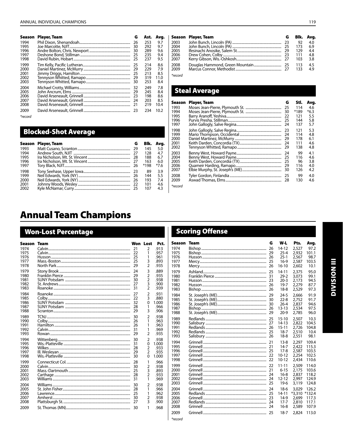| Season    | <b>Player, Team</b> | G  | Ast. | Avg. |  |
|-----------|---------------------|----|------|------|--|
| 1994      |                     | 26 | 253  | 9.7  |  |
| 1995      |                     | 30 | 292  | 9.7  |  |
| 1996      |                     | 30 | 289  | 9.6  |  |
| 1997      |                     | 25 | 235  | 9.4  |  |
| 1998      |                     | 25 | 237  | 9.5  |  |
| 1999      |                     | 25 | 214  | 8.6  |  |
| 2000      |                     | 29 | 229  | 7.9  |  |
| 2001      |                     | 25 | 213  | 8.5  |  |
| 2002      |                     | 29 | 319  | 11.0 |  |
| 2003      |                     | 30 | 253  | 8.4  |  |
| 2004      |                     | 32 | 249  | 7.8  |  |
| 2005      |                     | 29 | 245  | 8.4  |  |
| 2006      |                     | 23 | 198  | 8.6  |  |
| 2007      |                     | 24 | 203  | 8.5  |  |
| 2008      |                     | 21 | 219  | 10.4 |  |
| 2009      |                     |    | 234  | 10.2 |  |
| $*recard$ |                     |    |      |      |  |

frecord

### **Blocked-Shot Average**

|      | Season Player, Team | G | Bik. | Ava. |  |
|------|---------------------|---|------|------|--|
| 1993 |                     |   | 145  | 5.0  |  |
| 1994 |                     |   | 128  | 4.7  |  |
| 1995 |                     |   | 188  | 6.7  |  |
| 1996 |                     |   | 163  | 6.0  |  |
| 1997 |                     |   | *198 | *7.6 |  |
| 1998 |                     |   | 89   | 3.9  |  |
| 1999 |                     |   | 144  | 5.5  |  |
| 2000 |                     |   | 193  | 7.4  |  |
| 2001 |                     |   | 101  | 4.6  |  |
| 2002 |                     |   | 107  | 43   |  |

#### Season Player, Team G Blk. Avg. 2003<br>2004 John Bunch, Lincoln (PA)...........<br>John Bunch, Lincoln (PA)..........<br>Ifesinachi Anosike, Salem St...  $\frac{92}{173}$ 23<br>25<br>29<br>23<br>27  $4.0$ <br>6.9<br>4.4 2005  $129$ 2006  $111$  $4.8$ 2007 103  $3.8$  $\frac{25}{27}$  $\frac{4.5}{4.9}$ 2008 Douglas Hammond, Green Mountain...... 113 2009 Marcus Connor, Methodist... 133 \*record

### **Steal Average**

\*record

| Season | Player, Team | G  | Stl. | Avg.   |
|--------|--------------|----|------|--------|
| 1993   |              | 25 | 114  | 4.6    |
| 1994   |              | 30 | *189 | $*6.3$ |
| 1995   |              | 22 | 121  | 5.5    |
| 1996   |              | 25 | 144  | 5.8    |
| 1997   |              | 24 | 137  | 5.7    |
| 1998   |              | 23 | 121  | 5.3    |
| 1999   |              | 24 | 114  | 4.8    |
| 2000   |              | 29 | 178  | 6.1    |
| 2001   |              | 24 | 111  | 4.6    |
| 2002   |              | 29 | 138  | 4.8    |
| 2003   |              | 24 | 99   | 4.1    |
| 2004   |              | 25 | 116  | 4.6    |
| 2005   |              | 25 | 96   | 3.8    |
| 2006   |              | 29 | 116  | 4.0    |
| 2007   |              | 30 | 126  | 4.2    |
| 2008   |              | 25 | 99   | 4.0    |
| 2009   |              | 28 | 130  | 4.6    |

# **Annual Team Champions**

### **Won-Lost Percentage**

| Season       | Team                                | Won Lost |                                  | Pct.          |
|--------------|-------------------------------------|----------|----------------------------------|---------------|
| 1974         |                                     | 21       | 2                                | .913          |
| 1975         |                                     | 22       | 1                                | .957          |
| 1976         | Husson…………………………………………………………………………… | 25       | 1                                | .961          |
| 1977<br>1978 |                                     | 25<br>29 | 3<br>$\overline{2}$              | .893<br>.935  |
| 1979         |                                     | 24       | 3                                | .889          |
| 1980         |                                     | 29       | $\overline{2}$<br>$\overline{2}$ | .935          |
| 1981<br>1982 |                                     | 30<br>27 | 3                                | .938<br>.900  |
| 1983         |                                     | 31       | $\overline{2}$                   | .939          |
| 1984         |                                     | 27       | $\overline{2}$                   | .931          |
| 1985         |                                     | 22       | 3                                | .880          |
| 1986         |                                     | 32       | $\mathbf 0$                      | 1.000         |
| 1987         |                                     | 28       | 1                                | .966          |
| 1988         |                                     | 29       | 3                                | .906          |
| 1989         |                                     | 30       | $\overline{2}$                   | .938          |
| 1990         |                                     | 26       | 1                                | .963          |
| 1991         |                                     | 26       | 1                                | .963          |
| 1992<br>1993 |                                     | 31<br>29 | 1<br>$\overline{2}$              | .969<br>.935  |
|              |                                     |          |                                  |               |
| 1994         |                                     | 30       | $\overline{2}$                   | .938          |
| 1995<br>1996 |                                     | 31<br>28 | 0<br>$\overline{2}$              | 1.000<br>.933 |
| 1997         |                                     | 29       | $\overline{2}$                   | .935          |
| 1998         |                                     | 30       | $\Omega$                         | 1.000         |
| 1999         |                                     | 28       | 1                                | .966          |
| 2000         |                                     | 30       | 2                                | .938          |
| 2001         |                                     | 25       | $\overline{3}$                   | .893          |
| 2002<br>2003 |                                     | 28<br>31 | $\overline{2}$<br>1              | .933<br>.969  |
|              |                                     |          |                                  |               |
| 2004         |                                     | 30       | $\overline{2}$                   | .938          |
| 2005<br>2006 |                                     | 28<br>25 | 1<br>1                           | .966<br>.962  |
| 2007         |                                     | 30       | 2                                | .938          |
| 2008         |                                     | 27       | 3                                | .900          |
| 2009         |                                     | 30       | 1                                | .968          |
|              |                                     |          |                                  |               |

### **Scoring Offense**

| <b>Season</b>                                | <b>Team</b> | G                                | W-L                                                             | Pts.                                                       | Avg.                                      |
|----------------------------------------------|-------------|----------------------------------|-----------------------------------------------------------------|------------------------------------------------------------|-------------------------------------------|
| 1974                                         |             | 26                               | 14-12                                                           | 2,527                                                      | 97.2                                      |
| 1975                                         |             | 29                               | $25 - 4$                                                        | 2.932                                                      | 101.1                                     |
| 1976                                         |             | -26                              | $25-1$                                                          | 2,567                                                      | 98.7                                      |
| 1977                                         |             | 25                               | $16-9$                                                          | 2,587                                                      | 103.5                                     |
| 1978                                         |             | 26                               | $16 - 10$                                                       | 2,602                                                      | 10.1                                      |
| 1979                                         |             | 25                               | $14 - 11$                                                       | 2,375                                                      | 95.0                                      |
| 1980                                         |             | 31                               | $29 - 2$                                                        | 3,073                                                      | 99.1                                      |
| 1981                                         |             | 23                               | $20 - 3$                                                        | 2,173                                                      | 94.5                                      |
| 1982                                         |             | 26                               | $19 - 7$                                                        | 2.279                                                      | 87.7                                      |
| 1983                                         |             | 26                               | $18-8$                                                          | 2,529                                                      | 97.3                                      |
| 1984                                         |             | 29                               | $24 - 5$                                                        | 2,666                                                      | 91.9                                      |
| 1985                                         |             | 30                               | $22 - 8$                                                        | 2.752                                                      | 91.7                                      |
| 1986                                         |             | 30                               | $26 - 4$                                                        | 2.837                                                      | 94.6                                      |
| 1987                                         |             | 26                               | $13 - 13$                                                       | 2,534                                                      | 97.5                                      |
| 1988                                         |             | 29                               | $20-9$                                                          | 2,785                                                      | 96.0                                      |
| 1989                                         |             | 25                               | $15 - 10$                                                       | 2.507                                                      | 10.3                                      |
| 1990                                         |             | 27                               | $14-13$                                                         | 2,822                                                      | 104.5                                     |
| 1991                                         |             | 26                               | 15-11                                                           | 2.726                                                      | 104.8                                     |
| 1992                                         |             | 25                               | $18 - 7$                                                        | 2,510                                                      | 10.4                                      |
| 1993                                         |             | 26                               | $18-8$                                                          | 2,551                                                      | 98.1                                      |
| 1994                                         |             | 21                               | $13 - 8$                                                        | 2.297                                                      | 109.4                                     |
| 1995                                         |             | 21                               | $14-7$                                                          | 2.422                                                      | 115.3                                     |
| 1996                                         |             | 25                               | $17-8$                                                          | 2,587                                                      | 103.5                                     |
| 1997                                         |             | 22                               | $10 - 12$                                                       | 2.254                                                      | 102.5                                     |
| 1998                                         |             | 22                               | $10 - 12$                                                       | 2,434                                                      | 110.6                                     |
| 1999                                         |             | 22                               | $11 - 11$                                                       | 2,509                                                      | 114.0                                     |
| 2000                                         |             | 21                               | $6 - 15$                                                        | 2.175                                                      | 103.6                                     |
| 2001                                         |             | 24                               | $16-8$                                                          | 2,837                                                      | 118.2                                     |
| 2002                                         |             | 24                               | $12 - 12$                                                       | 2.997                                                      | 124.9                                     |
| 2003                                         |             | 25                               | $19-6$                                                          | 3,119                                                      | 124.8                                     |
| 2004<br>2005<br>2006<br>2007<br>2008<br>2009 |             | 24<br>25<br>23<br>24<br>24<br>25 | $18-6$<br>$14 - 11$<br>$14-9$<br>$17 - 7$<br>$16-8$<br>$18 - 7$ | 3,029<br>*3,310 *132.4<br>2,699<br>2,810<br>2,589<br>2,824 | 126.2<br>117.3<br>117.1<br>107.9<br>113.0 |
|                                              |             |                                  |                                                                 |                                                            |                                           |

119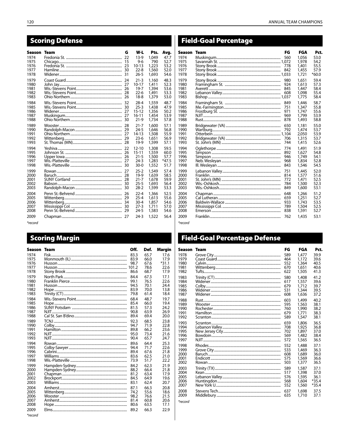## **Scoring Defense**

| Season       | Team | G  | W-L                    | Pts.           | Avg.         | Sea                   |
|--------------|------|----|------------------------|----------------|--------------|-----------------------|
| 1974<br>1975 |      | 22 | 13-9<br>9-6            | 1.049<br>790   | 47.7<br>52.7 | 1974<br>1975          |
| 1976         |      |    | 10-13                  | 1,223          | 53.2         | 1976                  |
| 1977<br>1978 |      |    | $22 - 8$<br>$26 - 5$   | 1,560<br>1.693 | 52.0<br>54.6 | 1977<br>1978          |
| 1979         |      | 24 | $21 - 3$               | 1,160          | 48.3         | 1979                  |
| 1980         |      |    | $10 - 17$              | 1.411          | 52.3         | 1980                  |
| 1981         |      |    | $19 - 7$               | 1,394          | 53.6         | 198 <sup>°</sup>      |
| 1982<br>1983 |      |    | $22 - 6$<br>$18 - 8$   | 1,491<br>1,379 | 53.3<br>53.0 | 1982<br>1983          |
| 1984         |      |    |                        |                | 48.7         | 1984                  |
| 1985         |      |    | 28-4<br>$25 - 3$       | 1,559<br>1,438 | 47.9         | 198                   |
| 1986         |      |    | $15 - 12$              | 1,356          | 50.2         | 1986                  |
| 1987         |      |    | $16 - 11$              | 1,454          | 53.9         | 1987                  |
| 1988         |      |    | $21-9$                 | 1,734          | 57.8         | 1988                  |
| 1989<br>1990 |      |    | $21 - 7$<br>$24 - 5$   | 1,600<br>1,646 | 57.1<br>56.8 | 1989<br>1990          |
| 1991         |      |    | 14-13                  | 1,508          | 55.9         | 199.                  |
| 1992         |      |    | $23-6$                 | 1,651          | 56.9         | 1992                  |
| 1993         |      |    | 19-9                   | 1,599          | 57.1         | 1993                  |
| 1994<br>1995 |      | 26 | $12 - 10$<br>$15 - 11$ | 1,308          | 59.5<br>60.0 | 1994<br>199           |
| 1996         |      |    | $21 - 5$               | 1,559<br>1,500 | 57.7         | 1996                  |
| 1997         |      |    | $24-3$                 | 1,283          | $*47.5$      | 1997                  |
| 1998         |      |    | $30-0$                 | 1,552          | 51.7         | 1998                  |
| 1999         |      |    | $25 - 2$               | 1,549          | 57.4         | 1999                  |
| 2000<br>2001 |      |    | $19-9$<br>$21 - 7$     | 1,639<br>1,678 | 58.5<br>59.9 | 2000<br>$200^{\circ}$ |
| 2002         |      |    | $25 - 5$               | 1,693          | 56.4         | 2002                  |
| 2003         |      |    | $28-2$                 | 1,599          | 53.3         | 2003                  |
| 2004         |      |    | $22 - 4$               | 1,366          | 52.5         | 2004                  |
| 2005<br>2006 |      |    | $25 - 4$<br>$30 - 4$   | 1,613<br>1,857 | 55.6<br>54.6 | 200<br>2006           |
| 2007         |      |    | $27-3$                 | 1,711          | 57.0         | 2007                  |
| 2008         |      |    | $24 - 5$               | 1,583          | 54.6         | 2008                  |
| 2009         |      |    | $24-3$                 | 1,522          | 56.4         | 2009                  |
|              |      |    |                        |                |              |                       |

 $*$ record

### **Scoring Margin**

| Season  | <b>Team</b> | Off.  | Def. | <b>Margin</b> |
|---------|-------------|-------|------|---------------|
| 1974    |             | 83.3  | 65.7 | 17.6          |
| 1975    |             | 83.9  | 66.0 | 17.9          |
| 1976    |             | 98.7  | 67.6 | $*31.1$       |
| 1977    |             | 101.2 | 78.6 | 22.6          |
| 1978    |             | 86.6  | 68.7 | 17.9          |
| 1979    |             | 84.4  | 67.3 | 17.1          |
| 1980    |             | 99.1  | 76.5 | 22.6          |
| 1981    |             | 94.5  | 70.1 | 24.4          |
| 1982    |             | 83.9  | 70.0 | 13.8          |
| 1983    |             | 79.8  | 61.4 | 18.4          |
| 1984    |             | 68.4  | 48.7 | 19.7          |
| 1985    |             | 85.4  | 66.0 | 19.4          |
| 1986    |             | 81.5  | 57.3 | 74.2          |
| 1987    |             | 90.8  | 63.9 | 26.9          |
| 1988    |             | 89.4  | 69.4 | 20.0          |
| 1989    |             | 92.3  | 68.5 | 23.8          |
| 1990    |             | 94.7  | 71.9 | 22.8          |
| 1991    |             | 89.8  | 66.2 | 23.6          |
| 1992    |             | 95.0  | 73.4 | 21.6          |
| 1993    |             | 90.4  | 65.7 | 24.7          |
| 1994    |             | 89.6  | 64.4 | 25.3          |
| 1995    |             | 94.4  | 71.7 | 22.6          |
| 1996    |             | 89.4  | 67.6 | 21.8          |
| 1997    |             | 83.6  | 62.5 | 21.0          |
| 1998    |             | 73.9  | 51.7 | 22.2          |
| 1999    |             | 84.2  | 62.3 | 21.9          |
| 2000    |             | 88.2  | 66.4 | 21.8          |
| 2001    |             | 81.2  | 63.4 | 17.9          |
| 2002    |             | 84.5  | 64.9 | 19.6          |
| 2003    |             | 83.1  | 62.4 | 20.7          |
| 2004    |             | 87.1  | 66.3 | 20.8          |
| 2005    |             | 74.2  | 55.6 | 18.6          |
| 2006    |             | 98.2  | 76.6 | 21.5          |
| 2007    |             | 81.4  | 60.8 | 20.6          |
| 2008    |             | 80.6  | 63.5 | 17.1          |
| 2009    |             | 89.2  | 66.3 | 22.9          |
| *record |             |       |      |               |

## Field-Goal Percentage

| <b>son</b> | Team | FG         | FGA            | Pct.         |
|------------|------|------------|----------------|--------------|
| 4          |      | 560        | 1.056          | 53.0         |
| 5<br>б     |      |            | 1,978<br>1,401 | 54.2<br>55.5 |
|            |      | 778<br>842 | 1,455          | 57.9         |
| 8          |      |            | 1,721          | $*60.0$      |
|            |      |            |                |              |
| 9          |      | 980<br>924 | 1.651          | 59.4<br>57.3 |
| 0          |      | 845        | 1,613<br>1,447 | 58.4         |
| 2          |      | 608        | 1.098          | 55.4         |
| 3          |      |            | 1,775          | 58.4         |
|            |      |            |                |              |
| 4<br>5     |      | 849<br>751 | 1,446<br>1,347 | 58.7<br>55.8 |
| б          |      | 971        | 1,747          | 55.6         |
| 7          |      | 969        | 1,799          | 53.9         |
| 8          |      | 878        | 1,493          | 58.8         |
|            |      |            |                |              |
| 9<br>0     |      | 650<br>792 | 1,181<br>1,474 | 55.0<br>53.7 |
| 1          |      |            | 2,050          | 53.9         |
| 2          |      | 706        | 1,315          | 53.7         |
| 3          |      | 744        | 1,415          | 52.6         |
|            |      | 774        | 1,491          | 51.9         |
| 4<br>5     |      | 892        | 1,627          | 54.8         |
| б          |      | 946        | 1,749          | 54.1         |
| 7          |      | 968        | 1,834          | 52.8         |
| 8          |      | 843        | 1,546          | 54.5         |
| 9          |      | 751        | 1,445          | 52.0         |
| 0          |      | 814        | 1,577          | 51.6         |
| 1          |      | 772        | 1.471          | 52.5         |
|            |      | 784        | 1,500          | 52.3         |
| 3          |      | 849        | 1,600          | 53.1         |
| 4          |      | 648        | 1,266          | 51.2         |
| 5          |      | 659        | 1,251          | 52.7         |
| б          |      | 933        | 1,743          | 53.5         |
|            |      | 789        | 1,504          | 52.5         |
| 8          |      | 838        | 1,591          | 52.7         |
| 9          |      | 762        | 1,435          | 53.1         |
|            |      |            |                |              |

\*record

### **Field-Goal Percentage Defense**

| Season  | Team | FG  | FGA   | Pct.    |
|---------|------|-----|-------|---------|
| 1978    |      | 589 | 1,477 | 39.9    |
| 1979    |      | 464 | 1,172 | 39.6    |
| 1980    |      | 552 | 1,364 | 40.5    |
| 1981    |      | 670 | 1,651 | 40.6    |
| 1982    |      | 622 | 1,505 | 41.3    |
| 1983    |      | 580 | 1,408 | 41.2    |
| 1984    |      | 617 | 1,557 | 39.6    |
| 1985    |      | 679 | 1,712 | 39.7    |
| 1986    |      | 531 | 1,344 | 39.5    |
| 1987    |      | 608 | 1,636 | 37.2    |
| 1988    |      | 603 | 1,499 | 40.2    |
| 1989    |      | 595 | 1,563 | 38.1    |
| 1990    |      | 760 | 1,990 | 38.2    |
| 1991    |      | 679 | 1.771 | 38.3    |
| 1992    |      | 589 | 1,547 | 38.1    |
| 1993    |      | 659 | 1,806 | 36.5    |
| 1994    |      | 708 | 1,925 | 36.8    |
| 1995    |      | 702 | 1,897 | 37.0    |
| 1996    |      | 569 | 1,482 | 38.4    |
| 1997    |      | 572 | 1,565 | 36.5    |
| 1998    |      | 552 | 1,488 | 37.1    |
| 1999    |      | 533 | 1,469 | 36.3    |
| 2000    |      | 608 | 1,689 | 36.0    |
| 2001    |      | 575 | 1,569 | 36.6    |
| 2002    |      | 503 | 1,377 | 36.5    |
| 2003    |      | 589 | 1,587 | 37.1    |
| 2004    |      | 517 | 1,398 | 37.0    |
| 2005    |      | 576 | 1,595 | 36.1    |
| 2006    |      | 568 | 1,604 | $*35.4$ |
| 2007    |      | 552 | 1,560 | $*35.4$ |
| 2008    |      | 637 | 1,698 | 37.5    |
| 2009    |      | 635 | 1,710 | 37.1    |
| *record |      |     |       |         |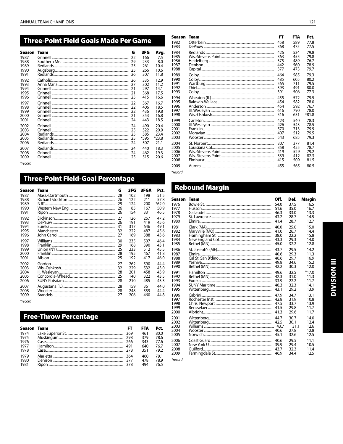| <b>Three-Point Field Goals Made Per Game</b>           |          |                                       |                                               |                                                    |  |  |
|--------------------------------------------------------|----------|---------------------------------------|-----------------------------------------------|----------------------------------------------------|--|--|
| Season<br>1987<br>1988<br>1989<br>1990<br>1991<br>1992 | Team     | G<br>22<br>29<br>25<br>25<br>26<br>26 | 3FG<br>166<br>233<br>261<br>266<br>307<br>335 | Avg.<br>7.5<br>8.0<br>10.4<br>10.6<br>11.8<br>12.9 |  |  |
| 1993<br>1994<br>1995<br>1996                           |          | 21<br>25                              | 302<br>297<br>368<br>415                      | 11.2<br>14.1<br>17.5<br>16.6                       |  |  |
| 1997<br>1998<br>1999<br>2000<br>2001                   |          | 22<br>21<br>24                        | 367<br>406<br>436<br>353<br>443               | 16.7<br>18.5<br>19.8<br>16.8<br>18.5               |  |  |
| 2002<br>2003<br>2004<br>2005<br>2006                   |          | 24<br>25<br>25<br>25<br>24            | 490<br>522<br>585<br>*595<br>507              | 20.4<br>20.9<br>23.4<br>$*23.8$<br>21.1            |  |  |
| 2007<br>2008<br>2009                                   | Grinnell | 24<br>24                              | 440<br>462<br>515                             | 18.3<br>19.3<br>20.6                               |  |  |

\*record

### **Three-Point Field-Goal Percentage**

| Season       | Team | G        | 3FG        | 3FGA       | Pct.            |
|--------------|------|----------|------------|------------|-----------------|
| 1987         |      | 28       | 102        | 198        | 51.5            |
| 1988<br>1989 |      | 26<br>29 | 122<br>124 | 211<br>200 | 57.8<br>$*62.0$ |
| 1990         |      | 26       | 85         | 167        | 50.9            |
| 1991         |      | 26       | 154        | 331        | 46.5            |
| 1992         |      | 27       | 126        | 267        | 47.2            |
| 1993<br>1994 |      | 26<br>31 | 191<br>317 | 419<br>646 | 45.6<br>49.1    |
| 1995         |      | 32       | 222        | 487        | 45.6            |
| 1996         |      | 27       | 169        | 388        | 43.6            |
| 1997         |      | 30       | 235        | 507        | 46.4            |
| 1998         |      | 29       | 168        | 390        | 43.1            |
| 1999<br>2000 |      | 25<br>28 | 233<br>195 | 512<br>467 | 45.5<br>41.8    |
| 2001         |      | 25       | 192        | 417        | 46.0            |
| 2002         |      | 27       | 262        | 590        | 44.4            |
| 2003         |      | 32       | 229        | 532        | 43.0            |
| 2004<br>2005 |      | 28<br>25 | 201<br>140 | 458<br>322 | 43.9<br>43.5    |
| 2006         |      | 28       | 210        | 485        | 43.3            |
| 2007         |      | 28       | 159        | 361        | 44.0            |
| 2008         |      | 28       | 248        | 559        | 44.4            |
| 2009         |      | 27       | 206        | 460        | 44.8            |

\*record

### **Free-Throw Percentage**

| <b>Season Team</b> |          | FT  | <b>FTA</b> | Pct. |
|--------------------|----------|-----|------------|------|
| 1974               |          |     | 461        | 80.0 |
| 1975               |          |     | 379        | 78.6 |
| 1976               |          | 266 | 343        | 77.6 |
| 1977               |          | 491 | 640        | 76.7 |
| 1978               | Case 778 |     | 351        | 79.2 |
| 1979               |          | 364 | 460        | 79.1 |
| 1980               |          | 377 | 478        | 78.9 |
| 1981               |          | 378 | 494        | 765  |

#### **Season Team** FT **FTA** Pct. 1982 Otterbein. 458 589 77.8<br>77.5  $475$ DePauw.... 368 1983 1984 79.8 Redlands... 426 534  $1985$ Wis.-Stevens Point....... 363  $455$ 79.8 1986 Heidelberg................ 375 489 76.7 1987 Denison....... 442 560 78.9 ... 1988 Capital...... 377 473 79.7 Colby.. 1989 464 585 79.3 1990 Colby 485 605 80.2<br>79.5 .... 1991 Wartburg.... 565 711<br>491 1992  $393$  $80.0$ Thiel...... 1993 Colby. 391  $506$ 77.3 1994 Wheaton (IL). 455 572 79.5 1995 Baldwin-Wallace....... 454 582 78.0 1996 Anderson......  $\overline{\phantom{a}}$ 454 592 76.7  $780$ 1997 III. Wesleyan 616 790  $*81.8$ 1998 Wis.-Oshkosh.. 516 631 1999 Carleton............. 423 540 78.3 .......  $426$ 2000 III. Wesleyan .......  $543$  $78.5$  $\ddotsc$ 2001 .... . . . . . . ...<br>.............. Franklin 570  $713$  $79.9$  $\ddotsc$ 2002 Moravian........... 407  $512$ 79.5 ............................. 2003 Wooster..... 543 685 79.3 St. Norbert. 2004 307 377 81.4 Louisiana Col...... 78.7<br>79.2 2005 358 455 ............ Wis.-Stevens Point..... 419 2006 529 Wis.-Stevens Point.....  $412$  $62.3$ 2007 339  $\frac{200}{2008}$  $415$ Elmhurst............. 509  $81.5$ 2009 Aurora...... 455 565 80.5 \*record

### **Rebound Margin**

| Season  | Team | Off. | Def. | Margin  |
|---------|------|------|------|---------|
| 1976    |      | 54.0 | 37.5 | 16.5    |
| 1977    |      | 51.6 | 35.0 | 16.7    |
| 1978    |      | 46.3 | 33.0 | 13.3    |
| 1979    |      | 43.2 | 28.7 | 14.5    |
| 1980    |      | 41.4 | 28.7 | 12.7    |
| 1981    |      | 40.0 | 25.0 | 15.0    |
| 1982    |      | 41.0 | 26.7 | 14.4    |
| 1983    |      | 38.0 | 22.2 | 15.8    |
| 1984    |      | 43.3 | 29.3 | 14.0    |
| 1985    |      | 45.0 | 32.2 | 12.8    |
| 1986    |      | 43.7 | 29.5 | 14.2    |
| 1987    |      | 40.6 | 29.3 | 11.3    |
| 1988    |      | 46.6 | 29.7 | 16.9    |
| 1989    |      | 49.8 | 34.6 | 15.2    |
| 1990    |      | 42.2 | 30.3 | 12.0    |
| 1991    |      | 49.6 | 32.5 | $*17.0$ |
| 1992    |      | 42.3 | 31.0 | 11.3    |
| 1993    |      | 33.9 | 22.2 | 11.7    |
| 1994    |      | 46.3 | 32.3 | 14.1    |
| 1995    |      | 43.1 | 29.2 | 13.9    |
| 1996    |      | 47.9 | 34.7 | 13.1    |
| 1997    |      | 42.8 | 31.9 | 10.8    |
| 1998    |      | 47.5 | 33.7 | 13.9    |
| 1999    |      | 41.5 | 29.8 | 11.7    |
| 2000    |      | 41.3 | 29.6 | 11.7    |
| 2001    |      | 44.7 | 30.7 | 14.0    |
| 2002    |      | 42.5 | 30.1 | 12.4    |
| 2003    |      | 43.7 | 31.1 | 12.6    |
| 2004    |      | 40.6 | 27.8 | 12.8    |
| 2005    |      | 45.1 | 32.6 | 12.5    |
| 2006    |      | 40.6 | 29.5 | 11.1    |
| 2007    |      | 39.9 | 29.4 | 10.5    |
| 2008    |      | 43.7 | 32.3 | 11.4    |
| 2009    |      | 46.9 | 34.4 | 12.5    |
| *record |      |      |      |         |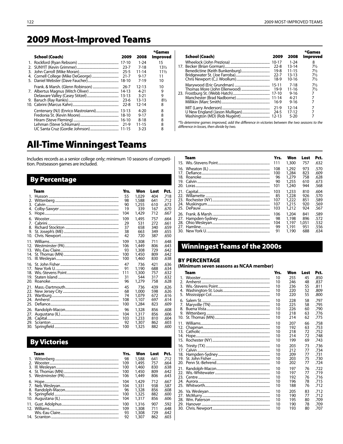## **2009 Most-Improved Teams**

| School (Coach) | 2009      | 2008      | *Games<br>Improved |
|----------------|-----------|-----------|--------------------|
|                |           |           |                    |
|                | $17-10$   | $1 - 24$  | 15                 |
|                | 23-7      | 7-18      | $13\frac{1}{2}$    |
|                | $25 - 5$  | 11-14     | $11\frac{1}{2}$    |
|                | $21 - 7$  | $9 - 17$  | 11                 |
|                | $18-10$   | $7 - 19$  | 10                 |
|                | 26-7      | 12-13     | 10                 |
|                | $14-13$   | 4-21      | 9                  |
|                | $13 - 13$ | $3 - 21$  | 9                  |
|                | $23-6$    | $13 - 13$ | $8\frac{1}{2}$     |
|                | $22 - 8$  | 12-14     | 8                  |
|                | $13-13$   | $4 - 20$  | 8                  |
|                | $18-10$   | $9 - 17$  | 8                  |
|                | $16-10$   | $8 - 18$  | 8                  |
|                | 21-9      | 11-15     | 8                  |
|                |           | 3-23      | 8                  |
|                |           |           |                    |

# **All-Time Winningest Teams**

Includes records as a senior college only; minimum 10 seasons of competition. Postseason games are included.

### **By Percentage**

|     | Team | Yrs. | Won   | Lost | Pct. |
|-----|------|------|-------|------|------|
| 1.  |      | 55   | 1.029 | 404  | .718 |
| 2.  |      | 98   | 1.588 | 641  | .712 |
| 3.  |      | 90   | 1.255 | 610  | .673 |
| 4.  |      | 19   | 339   | 167  | .670 |
| 5.  |      | 104  | 1,429 | 712  | .667 |
| б.  |      | 109  | 1,495 | 757  | .664 |
| 7.  |      | 29   | 531   | 272  | .661 |
| 8.  |      | 37   | 658   | 340  | .659 |
| 9.  |      | 38   | 663   | 349  | .655 |
| 10. |      | 42   | 720   | 387  | .650 |
| 11. |      | 109  | 1,308 | 711  | .648 |
| 12. |      | 106  | 1.449 | 806  | .643 |
| 13. |      | 93   | 1,308 | 729  | .642 |
| 14. |      | 100  | 1.450 | 809  | .642 |
| 15. |      | 100  | 1.460 | 830  | .638 |
| 16. |      | 47   | 736   | 421  | .636 |
| 17. |      | 91   | 1,190 | 688  | .634 |
| 18. |      | 111  | 1,300 | 757  | .632 |
| 19. |      | 31   | 544   | 317  | .632 |
| 20. |      | 96   | 1,279 | 758  | .628 |
| 21. |      | 45   | 736   | 439  | .626 |
| 22. |      | 68   | 1.000 | 598  | .626 |
| 23. |      | 74   | 1.079 | 672  | .616 |
| 24. |      | 108  | 1,107 | 697  | .614 |
| 25. |      | 100  | 1,284 | 823  | .609 |
| 26. |      | 96   | 1,328 | 856  | .608 |
| 27. |      | 104  | 1,317 | 856  | .606 |
| 28. |      | 103  | 1,233 | 810  | .604 |
| 29. |      | 92   | 1,307 | 862  | .603 |
| 30. |      | 100  | 1,325 | 882  | .600 |

### **By Victories**

|               | Team | Yrs. | Won   | Lost | Pct. |
|---------------|------|------|-------|------|------|
|               |      | 98   | 1,588 | 641  | .712 |
| $\mathcal{P}$ |      | 109  | 1.495 | 757  | .664 |
| 3.            |      | 100  | 1,460 | 830  | .638 |
| 4.            |      | 100  | 1,450 | 809  | .642 |
|               |      | 106  | 1,449 | 806  | .643 |
| 6.            |      | 104  | 1,429 | 712  | .667 |
|               |      | 104  | 1.331 | 938  | .587 |
| 8.            |      | 96   | 1,328 | 856  | .608 |
| 9.            |      | 100  | 1,325 | 882  | .600 |
|               |      | 104  | 1.317 | 856  | .606 |
|               |      | 100  | 1,316 | 907  | .592 |
|               |      | 109  | 1,308 | 711  | .648 |
|               |      | 93   | 1,308 | 729  | .642 |
|               |      | 92   | 1,307 | 862  | .603 |

| School (Coach) | 2009      | 2008      | *Games<br><b>Improved</b> |
|----------------|-----------|-----------|---------------------------|
|                |           | $1 - 24$  | 8                         |
|                | $22 - 8$  | $13 - 14$ | $7\frac{1}{2}$            |
|                | 19-8      | $11 - 15$ | $7\frac{1}{2}$            |
|                | $22 - 7$  | $13 - 13$ | $7\frac{1}{2}$            |
|                | 18-9      | $10-16$   | $7\frac{1}{2}$            |
|                |           | 7-18      | $7\frac{1}{2}$            |
|                | 19-9      | 11-16     | $7\frac{1}{2}$            |
|                | $17-10$   | $9 - 16$  | 7                         |
|                |           | $4 - 21$  | 7                         |
|                | $16-9$    | $9 - 16$  | 7                         |
|                | $21-9$    | 12-14     | 7                         |
|                | $24 - 5$  | 17-12     | 7                         |
|                | $12 - 13$ | $5 - 20$  |                           |

\*To determine games improved, add the difference in victories between the two seasons to the difference in losses, then divide by two.

|                   | Team | Yrs.                                  | Won                                                | Lost                                   | Pct.                                         |
|-------------------|------|---------------------------------------|----------------------------------------------------|----------------------------------------|----------------------------------------------|
|                   |      | 111                                   | 1,300                                              | 757                                    | .632                                         |
| 16.               |      | 108                                   | 1,292                                              | 973                                    | .570                                         |
| 17.               |      | 100                                   | 1,284                                              | 823                                    | .609                                         |
| 18.               |      | 96                                    | 1,279                                              | 758                                    | .628                                         |
| 19.               |      | 90                                    | 1,255                                              | 610                                    | .673                                         |
| 22.<br>23.<br>24. |      | 101<br>103<br>85<br>107<br>107<br>103 | 1,240<br>1,233<br>1,228<br>1,222<br>1.215<br>1.212 | 944<br>810<br>926<br>851<br>920<br>924 | .568<br>.604<br>.570<br>.589<br>.569<br>.567 |
| 27.<br>28.<br>27. |      | 106<br>98<br>104<br>99<br>91          | 1,204<br>1,198<br>1.197<br>1,191<br>1.190          | 841<br>896<br>1.051<br>951<br>688      | .589<br>.572<br>.532<br>.556<br>.634         |

### **Winningest Teams of the 2000s**

### **BY PERCENTAGE**

#### (Minimum seven seasons as NCAA member)

|                       | Team | Yrs. | Won | Lost | Pct. |
|-----------------------|------|------|-----|------|------|
| 1.                    |      | 10   | 255 | 45   | .850 |
| $\mathcal{D}_{\cdot}$ |      | 10   | 246 | 48   | .837 |
| 3.                    |      | 10   | 236 | 55   | .811 |
| 4.                    |      | 10   | 220 | 52   | .809 |
| 5.                    |      | 10   | 220 | 55   | .800 |
| 6.                    |      | 10   | 228 | 58   | .797 |
| 7.                    |      | 10   | 225 | 58   | .795 |
| 8.                    |      | 10   | 226 | 60   | .790 |
| 9.                    |      | 10   | 218 | 63   | .776 |
| 10.                   |      | 10   | 214 | 62   | .775 |
| 11.                   |      | 10   | 207 | 66   | .758 |
| 12.                   |      | 10   | 192 | 63   | .753 |
| 13.                   |      | 10   | 218 | 72   | .752 |
| 14.                   |      | 10   | 214 | 72   | .748 |
| 15.                   |      | 10   | 199 | 69   | .743 |
| 16.                   |      | 10   | 203 | 73   | .736 |
| 17.                   |      | 10   | 212 | 77   | .734 |
| 18.                   |      | 10   | 209 | 77   | .731 |
| 19.                   |      | 10   | 203 | 75   | .730 |
| 20.                   |      | 10   | 202 | 77   | .724 |
| 21.                   |      | 10   | 197 | 76   | .722 |
| 22.                   |      | 10   | 197 | 77   | .719 |
| 23.                   |      | 10   | 192 | 76   | .716 |
| 24.                   |      | 10   | 196 | 78   | .715 |
| 25.                   |      | 10   | 188 | 76   | .712 |
| 26.                   |      | 10   | 205 | 83   | .712 |
| 27.                   |      | 10   | 190 | 77   | .712 |
| 28.                   |      | 10   | 195 | 80   | .709 |
| 29.                   |      | 10   | 190 | 78   | .709 |
| 30.                   |      | 10   | 193 | 80   | .707 |
|                       |      |      |     |      |      |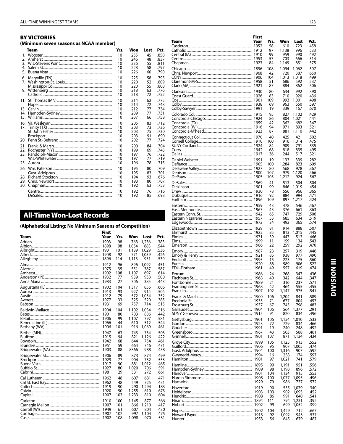| <b>BY VICTORIES</b>                    |  |
|----------------------------------------|--|
| (Minimum seven seasons as NCAA member) |  |

|                          | Team | Yrs.                       | Won                             | Lost                       | Pct.                                 |
|--------------------------|------|----------------------------|---------------------------------|----------------------------|--------------------------------------|
| 1.                       |      | 10                         | 255                             | 45                         | .850                                 |
| 2.                       |      | 10                         | 246                             | 48                         | .837                                 |
| 3.                       |      | 10                         | 236                             | 55                         | .811                                 |
| 4.                       |      | 10                         | 228                             | 58                         | .797                                 |
| 5.                       |      | 10                         | 226                             | 60                         | .790                                 |
| 6.<br>7.                 |      | 10<br>10<br>10             | 225<br>220                      | 58<br>52                   | .795<br>.809                         |
|                          |      | 10<br>10                   | 220<br>218<br>218               | 55<br>63<br>72             | .800<br>.776<br>.752                 |
|                          |      | 10                         | 214                             | 62                         | .775                                 |
|                          |      | 10                         | 214                             | 72                         | .748                                 |
| 13.                      |      | 10                         | 212                             | 77                         | .734                                 |
| 14.                      |      | 10                         | 209                             | 77                         | .731                                 |
| 15.                      |      | 10                         | 207                             | 66                         | .758                                 |
| 17.                      |      | 10                         | 205                             | 83                         | .712                                 |
|                          |      | 10                         | 203                             | 73                         | .736                                 |
|                          |      | 10                         | 203                             | 75                         | .730                                 |
|                          |      | 10                         | 203                             | 91                         | .690                                 |
|                          |      | 10                         | 202                             | 77                         | .724                                 |
| 22.<br>23.<br>25.        |      | 10<br>10<br>10<br>10<br>10 | 200<br>199<br>197<br>197<br>196 | 84<br>69<br>76<br>77<br>78 | .704<br>.743<br>.722<br>.719<br>.715 |
| 26.<br>28.<br>29.<br>30. |      | 10<br>10<br>10<br>10<br>10 | 195<br>195<br>194<br>193<br>192 | 80<br>83<br>93<br>80<br>63 | .709<br>.701<br>.676<br>.707<br>.753 |
|                          |      | 10                         | 192                             | 76                         | .716                                 |
|                          |      | 10                         | 192                             | 85                         | .693                                 |

## **All-Time Won-Lost Records**

| (Alphabetical Listing; No Minimum Seasons of Competition) |                                                              |                                      |                                              |                                               |                                              |
|-----------------------------------------------------------|--------------------------------------------------------------|--------------------------------------|----------------------------------------------|-----------------------------------------------|----------------------------------------------|
| Team                                                      | <b>First</b><br>Year<br>1903<br>1898<br>1901<br>1908<br>1896 | Yrs.<br>98<br>98<br>101<br>92<br>114 | Won<br>768<br>1.054<br>1,189<br>771<br>1.113 | Lost<br>1,236<br>883<br>1.029<br>1.039<br>951 | Pct.<br>.383<br>.544<br>.536<br>.426<br>.539 |
|                                                           | 1912<br>1975<br>1902<br>1932<br>1983                         | 96<br>35<br>108<br>77<br>27          | 896<br>551<br>1,107<br>939<br>306            | 1.092<br>387<br>697<br>938<br>385             | .451<br>.587<br>.614<br>.500<br>.443         |
|                                                           | 1902<br>1913<br>1912<br>1977<br>1931                         | 104<br>93<br>79<br>33<br>69          | 1,317<br>927<br>572<br>325<br>757            | 856<br>914<br>1.054<br>520<br>714             | .606<br>.504<br>.352<br>.385<br>.515         |
|                                                           | 1904<br>1901                                                 | 104<br>80<br>99<br>44<br>101         | 1,102<br>703<br>1,107<br>610<br>916          | 1,034<br>886<br>797<br>512<br>1,069           | .516<br>.442<br>.581<br>.544<br>.461         |
|                                                           | 1947<br>1915<br>1942<br>1951<br>1903                         | 63<br>94<br>68<br>59<br>88           | 743<br>821<br>644<br>664<br>8366             | 734<br>1,126<br>754<br>746<br>988             | .503<br>.422<br>.461<br>.471<br>.458         |
|                                                           | 1906<br>1929<br>1917<br>1927<br>1981                         | 89<br>77<br>90<br>80<br>29           | 873<br>904<br>881<br>1,020<br>531            | 874<br>732<br>1.012<br>706<br>272             | .499<br>.553<br>.465<br>.591<br>.661         |
|                                                           | 1962<br>1962<br>1920                                         | 48<br>48<br>90<br>90<br>103          | 607<br>549<br>290<br>1,255<br>1,233          | 681<br>725<br>1,294<br>610<br>810             | .471<br>.431<br>.183<br>.673<br>.604         |
|                                                           | 1910<br>1907<br>1902                                         | 100<br>101<br>61<br>102<br>108       | 1.145<br>866<br>607<br>997<br>1.098          | 877<br>1,210<br>804<br>1,104<br>970           | .566<br>.417<br>.430<br>.475<br>.531         |
|                                                           |                                                              |                                      |                                              |                                               |                                              |

| Team     | Year | Yrs.<br>58 | Won            | Lost<br>723    | Pct.<br>.458 |
|----------|------|------------|----------------|----------------|--------------|
|          |      | 97         | 610<br>1,138   | 996            | .533         |
|          |      | 99         | 959            | 990            | .492         |
|          |      | 57<br>84   | 703<br>1,149   | 666<br>851     | .514<br>.575 |
|          |      | 108        | 1.094          | 1,062          | .507         |
|          |      | 42         | 720            | 387            | .650         |
|          |      | 104        | 1,013          | 1,018          | .499         |
|          |      | 51<br>87   | 686<br>884     | 592<br>862     | .537<br>.506 |
|          |      | 80         | 634            | 992            | .390         |
|          |      | 83         | 710            | 920            | .436         |
|          |      | 109<br>69  | 993<br>963     | 1,001<br>650   | .498<br>.597 |
|          |      | 19         | 339            | 167            | .670         |
|          |      | 95         | 827            | 1,102          | .429         |
|          |      | 86<br>42   | 804<br>362     | 1,021<br>682   | .441<br>.347 |
|          |      | 94         | 971            | 893            | .521         |
|          |      | 87         | 881            | 1,110          | .442         |
|          |      | 40         | 425            | 421            | .502         |
|          |      | 100<br>84  | 916<br>909     | 1,014<br>791   | .475<br>.535 |
|          |      | 68         | 818            | 835            | .495         |
|          |      | 36         | 244            | 517            | .321         |
|          |      | 19<br>100  | 133<br>1,284   | 339<br>823     | .282<br>.609 |
|          |      | 80         | 568            | 978            | .367         |
|          |      | 107        | 979            | 1,120          | .466         |
|          |      | 103        | 1,212          | 924            | .567         |
|          |      | 41<br>99   | 513<br>846     | 504<br>1,019   | .504<br>.454 |
|          |      | 78         | 556            | 966            | .365         |
|          |      | 92<br>109  | 884<br>897     | 994<br>1,217   | .471<br>.424 |
|          |      | 43         | 478            | 546            | .467         |
|          |      | 43         | 376            | 661            | .363         |
|          |      | 65<br>53   | 747<br>685     | 729<br>634     | .506<br>.519 |
|          |      | 34         | 492            | 365            | .574         |
|          |      | 81         | 914            | 888            | .507         |
|          |      | 85         | 813            | 1,015          | .445         |
|          |      | 39<br>11   | 447<br>159     | 513<br>134     | .466<br>.543 |
|          |      | 22         | 259            | 292            | .470         |
|          |      | 23         | 257            | 319            | .446         |
|          |      | 85<br>15   | 938<br>223     | 977<br>175     | .490<br>.560 |
|          |      | 88         | 989            | 906            | .522         |
|          |      | 49         | 557            | 619            | .474         |
|          |      | 24<br>40   | 268<br>342     | 347<br>644     | .436<br>.347 |
|          |      | 21         | 316            | 237            | .571         |
| Franklin |      | 42<br>102  | 464<br>1,147   | 555<br>975     | .455<br>.541 |
|          | 1900 | 106        | 1,204          | 841            | .589         |
|          |      | 71         | 677            | 804            | .457         |
|          |      | 67<br>106  | 745<br>564     | 798<br>1,377   | .483<br>.291 |
|          |      | 91         | 820            | 834            | .496         |
|          |      | 106        | 1,154          | 1,010          | .533         |
|          |      | 72         | 729<br>240     | 834            | .466         |
|          |      | 19<br>43   | 503            | 248<br>588     | .492<br>.461 |
|          |      | 107        | 871            | 1,134          | .434         |
|          |      | 105        | 1,125          | 913            | .552         |
|          |      | 95<br>100  | 907<br>1,316   | 1,005<br>907   | .474<br>.592 |
|          |      | 16         | 258            | 174            | .597         |
|          |      | 97         | 1,021          | 741            | .579         |
|          |      | 99<br>98   | 1,191<br>1,198 | 951<br>896     | .556<br>.572 |
|          |      | 104        | 1,134          | 915            | .553         |
|          |      | 100        | 1,077          | 1,095          | .496         |
|          |      | 79<br>90   | 986<br>555     | 737            | .572<br>.340 |
|          |      | 103        | 902            | 1,079<br>1,093 | .452         |
|          |      | 86         | 991            | 840            | .541         |
|          |      | 111<br>99  | 794<br>699     | 1,231<br>1,052 | .392<br>.399 |
|          |      | 104        | 1,429          | 712            | .667         |
|          |      | 92         | 1,092          | 943            | .537         |
|          |      | 56         | 645            | 679            | .487         |

**First**